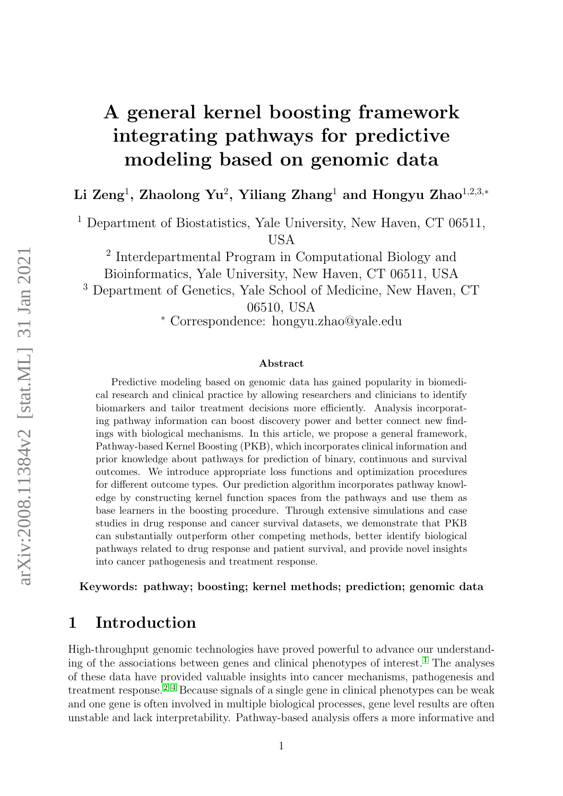# A general kernel boosting framework integrating pathways for predictive modeling based on genomic data

Li Zeng<sup>1</sup>, Zhaolong Yu<sup>2</sup>, Yiliang Zhang<sup>1</sup> and Hongyu Zhao<sup>1,2,3,</sup>\*

<sup>1</sup> Department of Biostatistics, Yale University, New Haven, CT 06511, USA

2 Interdepartmental Program in Computational Biology and Bioinformatics, Yale University, New Haven, CT 06511, USA <sup>3</sup> Department of Genetics, Yale School of Medicine, New Haven, CT 06510, USA <sup>∗</sup> Correspondence: hongyu.zhao@yale.edu

#### Abstract

Predictive modeling based on genomic data has gained popularity in biomedical research and clinical practice by allowing researchers and clinicians to identify biomarkers and tailor treatment decisions more efficiently. Analysis incorporating pathway information can boost discovery power and better connect new findings with biological mechanisms. In this article, we propose a general framework, Pathway-based Kernel Boosting (PKB), which incorporates clinical information and prior knowledge about pathways for prediction of binary, continuous and survival outcomes. We introduce appropriate loss functions and optimization procedures for different outcome types. Our prediction algorithm incorporates pathway knowledge by constructing kernel function spaces from the pathways and use them as base learners in the boosting procedure. Through extensive simulations and case studies in drug response and cancer survival datasets, we demonstrate that PKB can substantially outperform other competing methods, better identify biological pathways related to drug response and patient survival, and provide novel insights into cancer pathogenesis and treatment response.

Keywords: pathway; boosting; kernel methods; prediction; genomic data

### 1 Introduction

High-throughput genomic technologies have proved powerful to advance our understanding of the associations between genes and clinical phenotypes of interest. [1](#page-30-0) The analyses of these data have provided valuable insights into cancer mechanisms, pathogenesis and treatment response.  $2^{-4}$  $2^{-4}$  $2^{-4}$  Because signals of a single gene in clinical phenotypes can be weak and one gene is often involved in multiple biological processes, gene level results are often unstable and lack interpretability. Pathway-based analysis offers a more informative and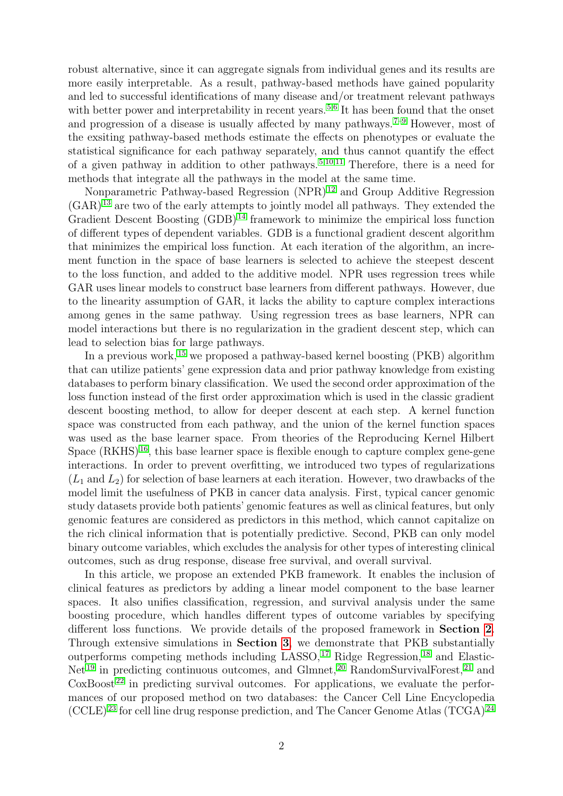robust alternative, since it can aggregate signals from individual genes and its results are more easily interpretable. As a result, pathway-based methods have gained popularity and led to successful identifications of many disease and/or treatment relevant pathways with better power and interpretability in recent years.<sup>[5,](#page-30-3)[6](#page-30-4)</sup> It has been found that the onset and progression of a disease is usually affected by many pathways.<sup> $7-9$  $7-9$ </sup> However, most of the exsiting pathway-based methods estimate the effects on phenotypes or evaluate the statistical significance for each pathway separately, and thus cannot quantify the effect of a given pathway in addition to other pathways. [5,](#page-30-3)[10](#page-30-7)[,11](#page-30-8) Therefore, there is a need for methods that integrate all the pathways in the model at the same time.

Nonparametric Pathway-based Regression (NPR) [12](#page-30-9) and Group Additive Regression  $(GAR)^{13}$  $(GAR)^{13}$  $(GAR)^{13}$  are two of the early attempts to jointly model all pathways. They extended the Gradient Descent Boosting  $(GDB)^{14}$  $(GDB)^{14}$  $(GDB)^{14}$  framework to minimize the empirical loss function of different types of dependent variables. GDB is a functional gradient descent algorithm that minimizes the empirical loss function. At each iteration of the algorithm, an increment function in the space of base learners is selected to achieve the steepest descent to the loss function, and added to the additive model. NPR uses regression trees while GAR uses linear models to construct base learners from different pathways. However, due to the linearity assumption of GAR, it lacks the ability to capture complex interactions among genes in the same pathway. Using regression trees as base learners, NPR can model interactions but there is no regularization in the gradient descent step, which can lead to selection bias for large pathways.

In a previous work,  $15$  we proposed a pathway-based kernel boosting (PKB) algorithm that can utilize patients' gene expression data and prior pathway knowledge from existing databases to perform binary classification. We used the second order approximation of the loss function instead of the first order approximation which is used in the classic gradient descent boosting method, to allow for deeper descent at each step. A kernel function space was constructed from each pathway, and the union of the kernel function spaces was used as the base learner space. From theories of the Reproducing Kernel Hilbert Space  $(RKHS)^{16}$  $(RKHS)^{16}$  $(RKHS)^{16}$ , this base learner space is flexible enough to capture complex gene-gene interactions. In order to prevent overfitting, we introduced two types of regularizations  $(L_1 \text{ and } L_2)$  for selection of base learners at each iteration. However, two drawbacks of the model limit the usefulness of PKB in cancer data analysis. First, typical cancer genomic study datasets provide both patients' genomic features as well as clinical features, but only genomic features are considered as predictors in this method, which cannot capitalize on the rich clinical information that is potentially predictive. Second, PKB can only model binary outcome variables, which excludes the analysis for other types of interesting clinical outcomes, such as drug response, disease free survival, and overall survival.

In this article, we propose an extended PKB framework. It enables the inclusion of clinical features as predictors by adding a linear model component to the base learner spaces. It also unifies classification, regression, and survival analysis under the same boosting procedure, which handles different types of outcome variables by specifying different loss functions. We provide details of the proposed framework in Section [2](#page-2-0). Through extensive simulations in Section [3](#page-6-0), we demonstrate that PKB substantially outperforms competing methods including LASSO,  $^{17}$  $^{17}$  $^{17}$  Ridge Regression,  $^{18}$  $^{18}$  $^{18}$  and Elastic- $Net<sup>19</sup>$  $Net<sup>19</sup>$  $Net<sup>19</sup>$  in predicting continuous outcomes, and Glmnet,  $^{20}$  $^{20}$  $^{20}$  RandomSurvivalForest,  $^{21}$  $^{21}$  $^{21}$  and  $\cos\theta$  in predicting survival outcomes. For applications, we evaluate the performances of our proposed method on two databases: the Cancer Cell Line Encyclopedia  $(CCLE)^{23}$  $(CCLE)^{23}$  $(CCLE)^{23}$  for cell line drug response prediction, and The Cancer Genome Atlas  $(TCGA)^{24}$  $(TCGA)^{24}$  $(TCGA)^{24}$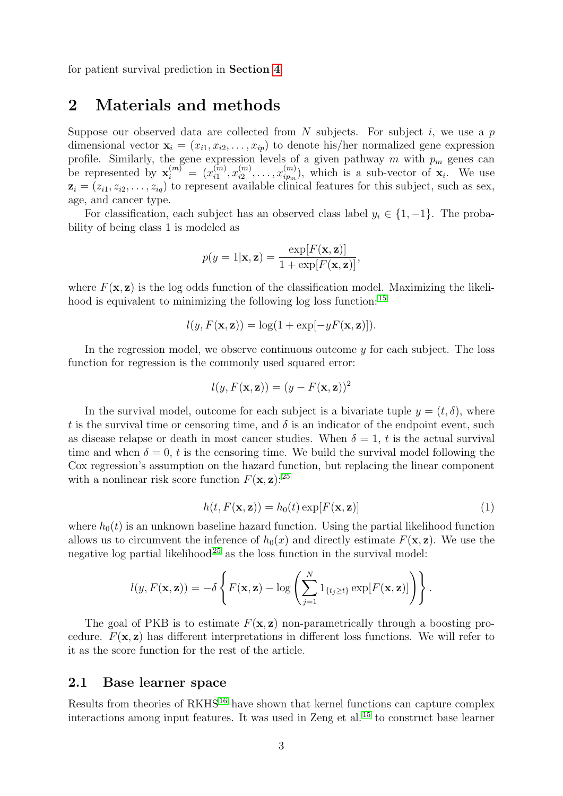for patient survival prediction in Section [4](#page-8-0).

### <span id="page-2-0"></span>2 Materials and methods

Suppose our observed data are collected from N subjects. For subject i, we use a  $p$ dimensional vector  $\mathbf{x}_i = (x_{i1}, x_{i2}, \dots, x_{ip})$  to denote his/her normalized gene expression profile. Similarly, the gene expression levels of a given pathway m with  $p_m$  genes can be represented by  $\mathbf{x}_i^{(m)} = (x_{i1}^{(m)})$  $\binom{[m]}{i1}, x_{i2}^{(m)}$  $\binom{m}{i2},\ldots,\binom{m}{i p_m}$  $\binom{m}{i p_m}$ , which is a sub-vector of  $\mathbf{x}_i$ . We use  $z_i = (z_{i1}, z_{i2}, \ldots, z_{iq})$  to represent available clinical features for this subject, such as sex, age, and cancer type.

For classification, each subject has an observed class label  $y_i \in \{1, -1\}$ . The probability of being class 1 is modeled as

$$
p(y=1|\mathbf{x}, \mathbf{z}) = \frac{\exp[F(\mathbf{x}, \mathbf{z})]}{1 + \exp[F(\mathbf{x}, \mathbf{z})]},
$$

where  $F(\mathbf{x}, \mathbf{z})$  is the log odds function of the classification model. Maximizing the likeli-hood is equivalent to minimizing the following log loss function: <sup>[15](#page-31-1)</sup>

$$
l(y, F(\mathbf{x}, \mathbf{z})) = \log(1 + \exp[-yF(\mathbf{x}, \mathbf{z})]).
$$

In the regression model, we observe continuous outcome  $y$  for each subject. The loss function for regression is the commonly used squared error:

$$
l(y, F(\mathbf{x}, \mathbf{z})) = (y - F(\mathbf{x}, \mathbf{z}))^2
$$

In the survival model, outcome for each subject is a bivariate tuple  $y = (t, \delta)$ , where t is the survival time or censoring time, and  $\delta$  is an indicator of the endpoint event, such as disease relapse or death in most cancer studies. When  $\delta = 1$ , t is the actual survival time and when  $\delta = 0$ , t is the censoring time. We build the survival model following the Cox regression's assumption on the hazard function, but replacing the linear component with a nonlinear risk score function  $F(\mathbf{x}, \mathbf{z})$ : <sup>[25](#page-31-11)</sup>

<span id="page-2-1"></span>
$$
h(t, F(\mathbf{x}, \mathbf{z})) = h_0(t) \exp[F(\mathbf{x}, \mathbf{z})]
$$
\n(1)

where  $h_0(t)$  is an unknown baseline hazard function. Using the partial likelihood function allows us to circumvent the inference of  $h_0(x)$  and directly estimate  $F(\mathbf{x}, \mathbf{z})$ . We use the negative log partial likelihood<sup>[25](#page-31-11)</sup> as the loss function in the survival model:

$$
l(y, F(\mathbf{x}, \mathbf{z})) = -\delta \left\{ F(\mathbf{x}, \mathbf{z}) - \log \left( \sum_{j=1}^{N} 1_{\{t_j \ge t\}} \exp[F(\mathbf{x}, \mathbf{z})] \right) \right\}.
$$

The goal of PKB is to estimate  $F(\mathbf{x}, \mathbf{z})$  non-parametrically through a boosting procedure.  $F(\mathbf{x}, \mathbf{z})$  has different interpretations in different loss functions. We will refer to it as the score function for the rest of the article.

#### 2.1 Base learner space

Results from theories of RKHS<sup>[16](#page-31-2)</sup> have shown that kernel functions can capture complex interactions among input features. It was used in Zeng et al. [15](#page-31-1) to construct base learner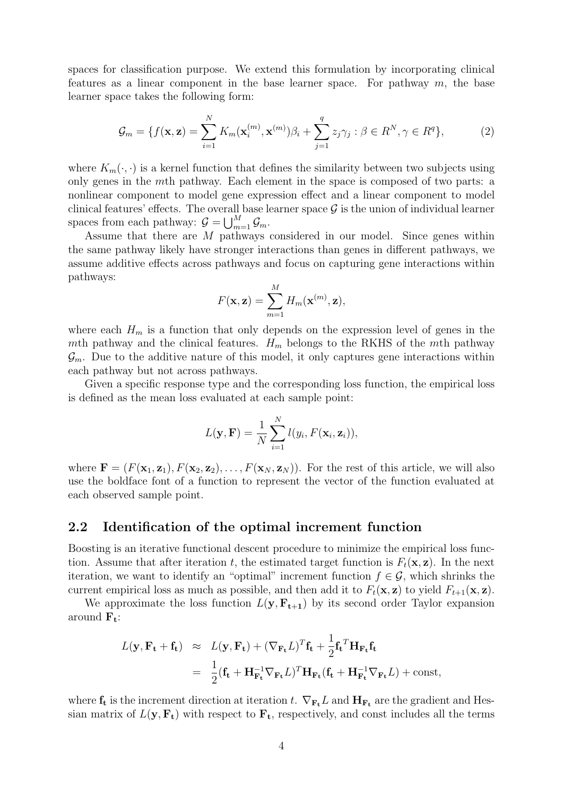spaces for classification purpose. We extend this formulation by incorporating clinical features as a linear component in the base learner space. For pathway  $m$ , the base learner space takes the following form:

<span id="page-3-0"></span>
$$
\mathcal{G}_m = \{ f(\mathbf{x}, \mathbf{z}) = \sum_{i=1}^N K_m(\mathbf{x}_i^{(m)}, \mathbf{x}^{(m)}) \beta_i + \sum_{j=1}^q z_j \gamma_j : \beta \in R^N, \gamma \in R^q \},\tag{2}
$$

where  $K_m(\cdot, \cdot)$  is a kernel function that defines the similarity between two subjects using only genes in the mth pathway. Each element in the space is composed of two parts: a nonlinear component to model gene expression effect and a linear component to model clinical features' effects. The overall base learner space  $\mathcal G$  is the union of individual learner spaces from each pathway:  $\mathcal{G} = \bigcup_{m=1}^{M} \mathcal{G}_m$ .

Assume that there are M pathways considered in our model. Since genes within the same pathway likely have stronger interactions than genes in different pathways, we assume additive effects across pathways and focus on capturing gene interactions within pathways:

$$
F(\mathbf{x}, \mathbf{z}) = \sum_{m=1}^{M} H_m(\mathbf{x}^{(m)}, \mathbf{z}),
$$

where each  $H_m$  is a function that only depends on the expression level of genes in the mth pathway and the clinical features.  $H_m$  belongs to the RKHS of the mth pathway  $\mathcal{G}_m$ . Due to the additive nature of this model, it only captures gene interactions within each pathway but not across pathways.

Given a specific response type and the corresponding loss function, the empirical loss is defined as the mean loss evaluated at each sample point:

$$
L(\mathbf{y}, \mathbf{F}) = \frac{1}{N} \sum_{i=1}^{N} l(y_i, F(\mathbf{x}_i, \mathbf{z}_i)),
$$

where  $\mathbf{F} = (F(\mathbf{x}_1, \mathbf{z}_1), F(\mathbf{x}_2, \mathbf{z}_2), \dots, F(\mathbf{x}_N, \mathbf{z}_N))$ . For the rest of this article, we will also use the boldface font of a function to represent the vector of the function evaluated at each observed sample point.

#### <span id="page-3-1"></span>2.2 Identification of the optimal increment function

Boosting is an iterative functional descent procedure to minimize the empirical loss function. Assume that after iteration t, the estimated target function is  $F_t(\mathbf{x}, \mathbf{z})$ . In the next iteration, we want to identify an "optimal" increment function  $f \in \mathcal{G}$ , which shrinks the current empirical loss as much as possible, and then add it to  $F_t(\mathbf{x}, \mathbf{z})$  to yield  $F_{t+1}(\mathbf{x}, \mathbf{z})$ .

We approximate the loss function  $L(\mathbf{y}, \mathbf{F}_{t+1})$  by its second order Taylor expansion around  $\mathbf{F}_t$ :

$$
L(\mathbf{y}, \mathbf{F_t} + \mathbf{f_t}) \approx L(\mathbf{y}, \mathbf{F_t}) + (\nabla_{\mathbf{F_t}} L)^T \mathbf{f_t} + \frac{1}{2} \mathbf{f_t}^T \mathbf{H}_{\mathbf{F_t}} \mathbf{f_t}
$$
  
= 
$$
\frac{1}{2} (\mathbf{f_t} + \mathbf{H}_{\mathbf{F_t}}^{-1} \nabla_{\mathbf{F_t}} L)^T \mathbf{H}_{\mathbf{F_t}} (\mathbf{f_t} + \mathbf{H}_{\mathbf{F_t}}^{-1} \nabla_{\mathbf{F_t}} L) + \text{const},
$$

where  $f_t$  is the increment direction at iteration t.  $\nabla_{F_t} L$  and  $H_{F_t}$  are the gradient and Hessian matrix of  $L(\mathbf{y}, \mathbf{F_t})$  with respect to  $\mathbf{F_t}$ , respectively, and const includes all the terms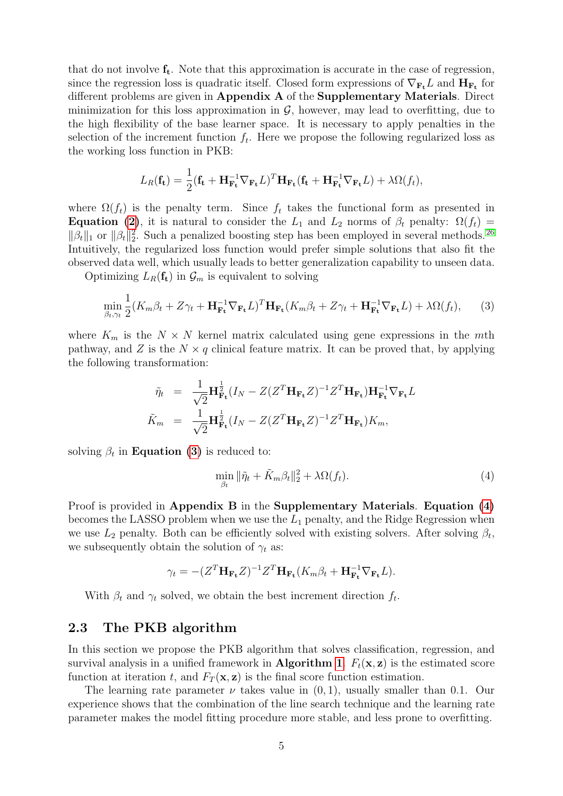that do not involve  $f_t$ . Note that this approximation is accurate in the case of regression, since the regression loss is quadratic itself. Closed form expressions of  $\nabla_{\mathbf{F_t}} L$  and  $\mathbf{H}_{\mathbf{F_t}}$  for different problems are given in Appendix A of the Supplementary Materials. Direct minimization for this loss approximation in  $\mathcal{G}$ , however, may lead to overfitting, due to the high flexibility of the base learner space. It is necessary to apply penalties in the selection of the increment function  $f_t$ . Here we propose the following regularized loss as the working loss function in PKB:

$$
L_R(\mathbf{f_t}) = \frac{1}{2}(\mathbf{f_t} + \mathbf{H_{F_t}^{-1}}\nabla_{\mathbf{F_t}}L)^T \mathbf{H_{F_t}}(\mathbf{f_t} + \mathbf{H_{F_t}^{-1}}\nabla_{\mathbf{F_t}}L) + \lambda \Omega(f_t),
$$

where  $\Omega(f_t)$  is the penalty term. Since  $f_t$  takes the functional form as presented in **Equation [\(2\)](#page-3-0)**, it is natural to consider the  $L_1$  and  $L_2$  norms of  $\beta_t$  penalty:  $\Omega(f_t)$  =  $\|\beta_t\|_1$  or  $\|\beta_t\|_2^2$ . Such a penalized boosting step has been employed in several methods. <sup>[26](#page-31-12)</sup> Intuitively, the regularized loss function would prefer simple solutions that also fit the observed data well, which usually leads to better generalization capability to unseen data.

Optimizing  $L_R(f_t)$  in  $\mathcal{G}_m$  is equivalent to solving

<span id="page-4-0"></span>
$$
\min_{\beta_t, \gamma_t} \frac{1}{2} (K_m \beta_t + Z \gamma_t + \mathbf{H}_{\mathbf{F}_t}^{-1} \nabla_{\mathbf{F}_t} L)^T \mathbf{H}_{\mathbf{F}_t} (K_m \beta_t + Z \gamma_t + \mathbf{H}_{\mathbf{F}_t}^{-1} \nabla_{\mathbf{F}_t} L) + \lambda \Omega(f_t), \tag{3}
$$

where  $K_m$  is the  $N \times N$  kernel matrix calculated using gene expressions in the mth pathway, and Z is the  $N \times q$  clinical feature matrix. It can be proved that, by applying the following transformation:

$$
\tilde{\eta}_t = \frac{1}{\sqrt{2}} \mathbf{H}_{\mathbf{F_t}}^{\frac{1}{2}} (I_N - Z(Z^T \mathbf{H}_{\mathbf{F_t}} Z)^{-1} Z^T \mathbf{H}_{\mathbf{F_t}}) \mathbf{H}_{\mathbf{F_t}}^{-1} \nabla_{\mathbf{F_t}} L
$$
\n
$$
\tilde{K}_m = \frac{1}{\sqrt{2}} \mathbf{H}_{\mathbf{F_t}}^{\frac{1}{2}} (I_N - Z(Z^T \mathbf{H}_{\mathbf{F_t}} Z)^{-1} Z^T \mathbf{H}_{\mathbf{F_t}}) K_m,
$$

solving  $\beta_t$  in **Equation [\(3\)](#page-4-0)** is reduced to:

<span id="page-4-1"></span>
$$
\min_{\beta_t} \|\tilde{\eta}_t + \tilde{K}_m \beta_t\|_2^2 + \lambda \Omega(f_t). \tag{4}
$$

Proof is provided in Appendix B in the Supplementary Materials. Equation [\(4\)](#page-4-1) becomes the LASSO problem when we use the  $L_1$  penalty, and the Ridge Regression when we use  $L_2$  penalty. Both can be efficiently solved with existing solvers. After solving  $\beta_t$ , we subsequently obtain the solution of  $\gamma_t$  as:

$$
\gamma_t = -(Z^T \mathbf{H}_{\mathbf{F_t}} Z)^{-1} Z^T \mathbf{H}_{\mathbf{F_t}} (K_m \beta_t + \mathbf{H}_{\mathbf{F_t}}^{-1} \nabla_{\mathbf{F_t}} L).
$$

With  $\beta_t$  and  $\gamma_t$  solved, we obtain the best increment direction  $f_t$ .

#### 2.3 The PKB algorithm

In this section we propose the PKB algorithm that solves classification, regression, and survival analysis in a unified framework in **Algorithm [1](#page-4-2).**  $F_t(\mathbf{x}, \mathbf{z})$  is the estimated score function at iteration t, and  $F_T(\mathbf{x}, \mathbf{z})$  is the final score function estimation.

<span id="page-4-2"></span>The learning rate parameter  $\nu$  takes value in  $(0, 1)$ , usually smaller than 0.1. Our experience shows that the combination of the line search technique and the learning rate parameter makes the model fitting procedure more stable, and less prone to overfitting.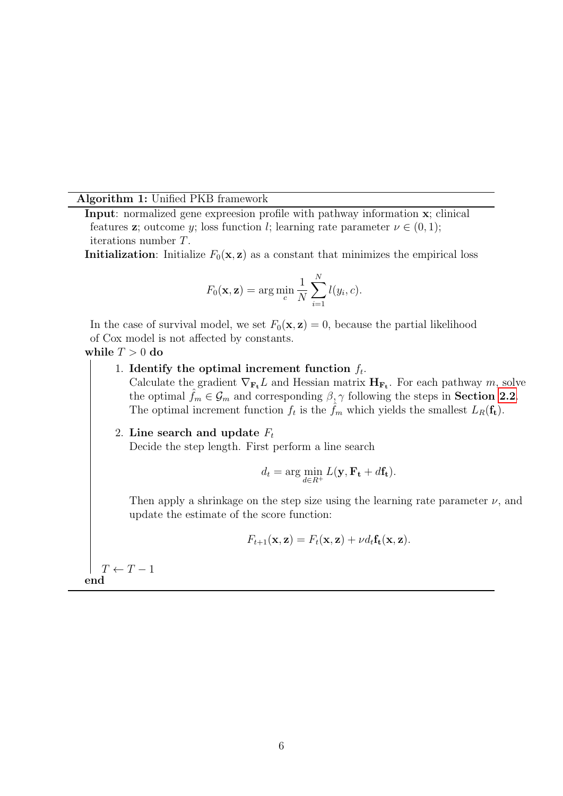#### Algorithm 1: Unified PKB framework

Input: normalized gene expreesion profile with pathway information x; clinical features **z**; outcome y; loss function l; learning rate parameter  $\nu \in (0,1)$ ; iterations number T.

**Initialization:** Initialize  $F_0(\mathbf{x}, \mathbf{z})$  as a constant that minimizes the empirical loss

$$
F_0(\mathbf{x}, \mathbf{z}) = \arg\min_c \frac{1}{N} \sum_{i=1}^N l(y_i, c).
$$

In the case of survival model, we set  $F_0(\mathbf{x}, \mathbf{z}) = 0$ , because the partial likelihood of Cox model is not affected by constants.

while  $T > 0$  do

1. Identify the optimal increment function  $f_t$ .

Calculate the gradient  $\nabla_{\mathbf{F_t}} L$  and Hessian matrix  $\mathbf{H}_{\mathbf{F_t}}$ . For each pathway m, solve the optimal  $f_m \in \mathcal{G}_m$  and corresponding  $\beta, \gamma$  following the steps in **Section [2.2](#page-3-1)**. The optimal increment function  $f_t$  is the  $\hat{f}_m$  which yields the smallest  $L_R(f_t)$ .

#### 2. Line search and update  $F_t$

Decide the step length. First perform a line search

$$
d_t = \arg\min_{d \in R^+} L(\mathbf{y}, \mathbf{F_t} + d\mathbf{f_t}).
$$

Then apply a shrinkage on the step size using the learning rate parameter  $\nu$ , and update the estimate of the score function:

$$
F_{t+1}(\mathbf{x}, \mathbf{z}) = F_t(\mathbf{x}, \mathbf{z}) + \nu d_t \mathbf{f_t}(\mathbf{x}, \mathbf{z}).
$$

 $T \leftarrow T - 1$ end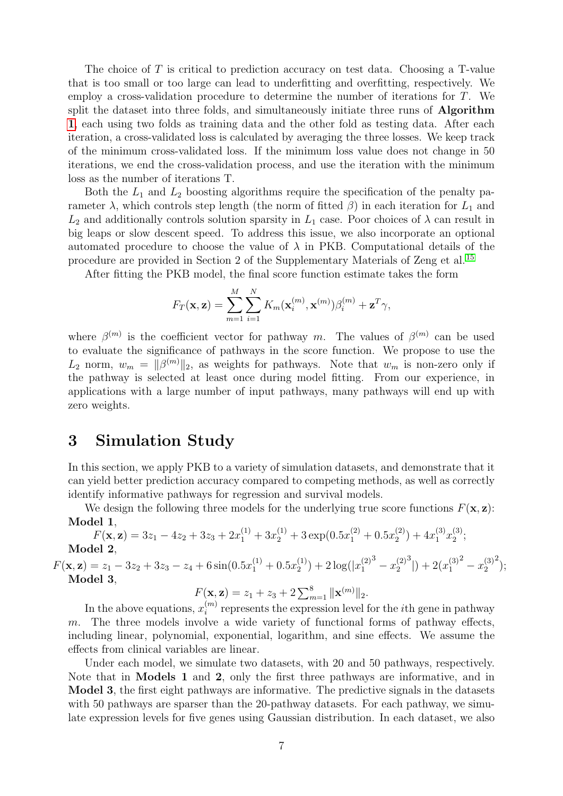The choice of T is critical to prediction accuracy on test data. Choosing a T-value that is too small or too large can lead to underfitting and overfitting, respectively. We employ a cross-validation procedure to determine the number of iterations for T. We split the dataset into three folds, and simultaneously initiate three runs of **Algorithm** [1](#page-4-2), each using two folds as training data and the other fold as testing data. After each iteration, a cross-validated loss is calculated by averaging the three losses. We keep track of the minimum cross-validated loss. If the minimum loss value does not change in 50 iterations, we end the cross-validation process, and use the iteration with the minimum loss as the number of iterations T.

Both the  $L_1$  and  $L_2$  boosting algorithms require the specification of the penalty parameter  $\lambda$ , which controls step length (the norm of fitted  $\beta$ ) in each iteration for  $L_1$  and  $L_2$  and additionally controls solution sparsity in  $L_1$  case. Poor choices of  $\lambda$  can result in big leaps or slow descent speed. To address this issue, we also incorporate an optional automated procedure to choose the value of  $\lambda$  in PKB. Computational details of the procedure are provided in Section 2 of the Supplementary Materials of Zeng et al. [15](#page-31-1)

After fitting the PKB model, the final score function estimate takes the form

$$
F_T(\mathbf{x}, \mathbf{z}) = \sum_{m=1}^{M} \sum_{i=1}^{N} K_m(\mathbf{x}_i^{(m)}, \mathbf{x}^{(m)}) \beta_i^{(m)} + \mathbf{z}^{T} \gamma,
$$

where  $\beta^{(m)}$  is the coefficient vector for pathway m. The values of  $\beta^{(m)}$  can be used to evaluate the significance of pathways in the score function. We propose to use the  $L_2$  norm,  $w_m = ||\beta^{(m)}||_2$ , as weights for pathways. Note that  $w_m$  is non-zero only if the pathway is selected at least once during model fitting. From our experience, in applications with a large number of input pathways, many pathways will end up with zero weights.

### <span id="page-6-0"></span>3 Simulation Study

In this section, we apply PKB to a variety of simulation datasets, and demonstrate that it can yield better prediction accuracy compared to competing methods, as well as correctly identify informative pathways for regression and survival models.

We design the following three models for the underlying true score functions  $F(\mathbf{x}, \mathbf{z})$ : Model 1,

$$
F(\mathbf{x}, \mathbf{z}) = 3z_1 - 4z_2 + 3z_3 + 2x_1^{(1)} + 3x_2^{(1)} + 3\exp(0.5x_1^{(2)} + 0.5x_2^{(2)}) + 4x_1^{(3)}x_2^{(3)};
$$
  
Model 2,

 $F(\mathbf{x}, \mathbf{z}) = z_1 - 3z_2 + 3z_3 - z_4 + 6\sin(0.5x_1^{(1)} + 0.5x_2^{(1)})$  $2^{(1)}$  + 2 log( $|x_1^{(2)}$ 1  $\sigma^3 - x_2^{(2)}$ 2  $3|) + 2(x_1^{(3)}$ 1  $x_2^{(3)}$ 2  $^{2}$ ); Model 3,

 $F(\mathbf{x}, \mathbf{z}) = z_1 + z_3 + 2 \sum_{m=1}^8 ||\mathbf{x}^{(m)}||_2.$ 

In the above equations,  $x_i^{(m)}$  $i^{(m)}$  represents the expression level for the *i*th gene in pathway m. The three models involve a wide variety of functional forms of pathway effects, including linear, polynomial, exponential, logarithm, and sine effects. We assume the effects from clinical variables are linear.

Under each model, we simulate two datasets, with 20 and 50 pathways, respectively. Note that in Models 1 and 2, only the first three pathways are informative, and in Model 3, the first eight pathways are informative. The predictive signals in the datasets with 50 pathways are sparser than the 20-pathway datasets. For each pathway, we simulate expression levels for five genes using Gaussian distribution. In each dataset, we also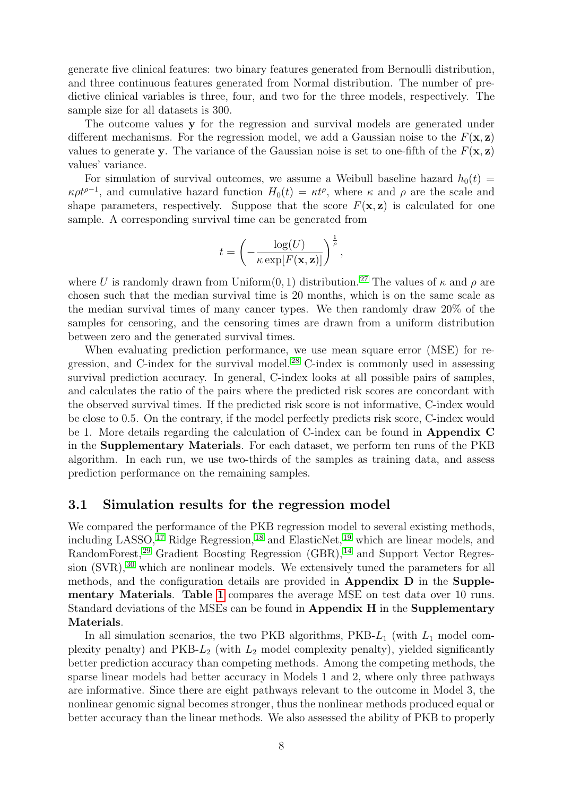generate five clinical features: two binary features generated from Bernoulli distribution, and three continuous features generated from Normal distribution. The number of predictive clinical variables is three, four, and two for the three models, respectively. The sample size for all datasets is 300.

The outcome values y for the regression and survival models are generated under different mechanisms. For the regression model, we add a Gaussian noise to the  $F(\mathbf{x}, \mathbf{z})$ values to generate y. The variance of the Gaussian noise is set to one-fifth of the  $F(\mathbf{x}, \mathbf{z})$ values' variance.

For simulation of survival outcomes, we assume a Weibull baseline hazard  $h_0(t)$  =  $\kappa \rho t^{\rho-1}$ , and cumulative hazard function  $H_0(t) = \kappa t^{\rho}$ , where  $\kappa$  and  $\rho$  are the scale and shape parameters, respectively. Suppose that the score  $F(\mathbf{x}, \mathbf{z})$  is calculated for one sample. A corresponding survival time can be generated from

$$
t = \left(-\frac{\log(U)}{\kappa \exp[F(\mathbf{x}, \mathbf{z})]}\right)^{\frac{1}{\rho}},
$$

where U is randomly drawn from Uniform $(0, 1)$  distribution.<sup>[27](#page-31-13)</sup> The values of  $\kappa$  and  $\rho$  are chosen such that the median survival time is 20 months, which is on the same scale as the median survival times of many cancer types. We then randomly draw 20% of the samples for censoring, and the censoring times are drawn from a uniform distribution between zero and the generated survival times.

When evaluating prediction performance, we use mean square error (MSE) for re-gression, and C-index for the survival model.<sup>[28](#page-31-14)</sup> C-index is commonly used in assessing survival prediction accuracy. In general, C-index looks at all possible pairs of samples, and calculates the ratio of the pairs where the predicted risk scores are concordant with the observed survival times. If the predicted risk score is not informative, C-index would be close to 0.5. On the contrary, if the model perfectly predicts risk score, C-index would be 1. More details regarding the calculation of C-index can be found in Appendix C in the Supplementary Materials. For each dataset, we perform ten runs of the PKB algorithm. In each run, we use two-thirds of the samples as training data, and assess prediction performance on the remaining samples.

#### 3.1 Simulation results for the regression model

We compared the performance of the PKB regression model to several existing methods, including LASSO,<sup>[17](#page-31-3)</sup> Ridge Regression,<sup>[18](#page-31-4)</sup> and ElasticNet,<sup>[19](#page-31-5)</sup> which are linear models, and RandomForest,<sup>[29](#page-32-0)</sup> Gradient Boosting Regression (GBR),<sup>[14](#page-31-0)</sup> and Support Vector Regres-sion (SVR),<sup>[30](#page-32-1)</sup> which are nonlinear models. We extensively tuned the parameters for all methods, and the configuration details are provided in Appendix D in the Supplementary Materials. Table [1](#page-15-0) compares the average MSE on test data over 10 runs. Standard deviations of the MSEs can be found in Appendix H in the Supplementary Materials.

In all simulation scenarios, the two PKB algorithms,  $PKB-L_1$  (with  $L_1$  model complexity penalty) and  $PKB-L_2$  (with  $L_2$  model complexity penalty), yielded significantly better prediction accuracy than competing methods. Among the competing methods, the sparse linear models had better accuracy in Models 1 and 2, where only three pathways are informative. Since there are eight pathways relevant to the outcome in Model 3, the nonlinear genomic signal becomes stronger, thus the nonlinear methods produced equal or better accuracy than the linear methods. We also assessed the ability of PKB to properly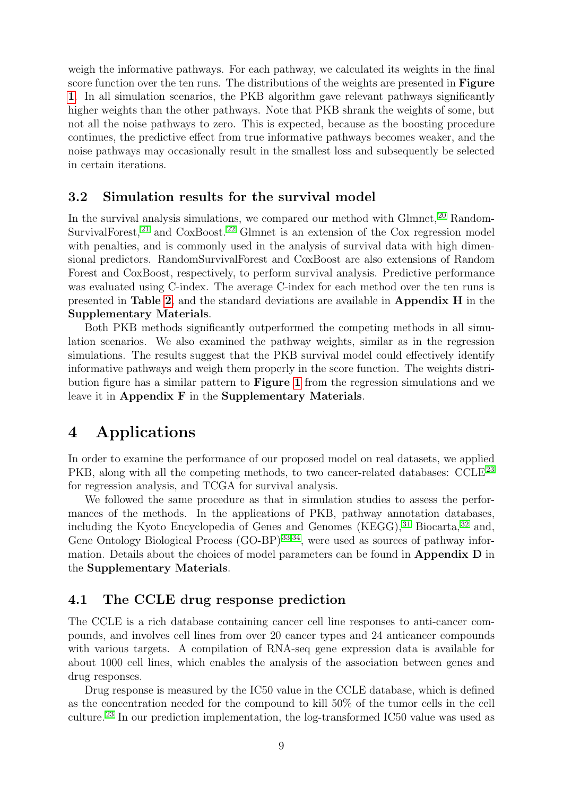weigh the informative pathways. For each pathway, we calculated its weights in the final score function over the ten runs. The distributions of the weights are presented in **Figure** [1](#page-12-0). In all simulation scenarios, the PKB algorithm gave relevant pathways significantly higher weights than the other pathways. Note that PKB shrank the weights of some, but not all the noise pathways to zero. This is expected, because as the boosting procedure continues, the predictive effect from true informative pathways becomes weaker, and the noise pathways may occasionally result in the smallest loss and subsequently be selected in certain iterations.

### 3.2 Simulation results for the survival model

In the survival analysis simulations, we compared our method with Glmnet, <sup>[20](#page-31-6)</sup> Random-SurvivalForest,  $21$  and CoxBoost.  $22$  Glmnet is an extension of the Cox regression model with penalties, and is commonly used in the analysis of survival data with high dimensional predictors. RandomSurvivalForest and CoxBoost are also extensions of Random Forest and CoxBoost, respectively, to perform survival analysis. Predictive performance was evaluated using C-index. The average C-index for each method over the ten runs is presented in Table [2](#page-16-0), and the standard deviations are available in Appendix H in the Supplementary Materials.

Both PKB methods significantly outperformed the competing methods in all simulation scenarios. We also examined the pathway weights, similar as in the regression simulations. The results suggest that the PKB survival model could effectively identify informative pathways and weigh them properly in the score function. The weights distribution figure has a similar pattern to Figure [1](#page-12-0) from the regression simulations and we leave it in Appendix F in the Supplementary Materials.

### <span id="page-8-0"></span>4 Applications

In order to examine the performance of our proposed model on real datasets, we applied PKB, along with all the competing methods, to two cancer-related databases: CCLE<sup>[23](#page-31-9)</sup> for regression analysis, and TCGA for survival analysis.

We followed the same procedure as that in simulation studies to assess the performances of the methods. In the applications of PKB, pathway annotation databases, including the Kyoto Encyclopedia of Genes and Genomes  $(KEGG),<sup>31</sup>$  $(KEGG),<sup>31</sup>$  $(KEGG),<sup>31</sup>$  Biocarta,<sup>[32](#page-32-3)</sup> and, Gene Ontology Biological Process (GO-BP) [33,](#page-32-4)[34](#page-32-5), were used as sources of pathway information. Details about the choices of model parameters can be found in Appendix D in the Supplementary Materials.

#### 4.1 The CCLE drug response prediction

The CCLE is a rich database containing cancer cell line responses to anti-cancer compounds, and involves cell lines from over 20 cancer types and 24 anticancer compounds with various targets. A compilation of RNA-seq gene expression data is available for about 1000 cell lines, which enables the analysis of the association between genes and drug responses.

Drug response is measured by the IC50 value in the CCLE database, which is defined as the concentration needed for the compound to kill 50% of the tumor cells in the cell culture.<sup>[23](#page-31-9)</sup> In our prediction implementation, the log-transformed IC50 value was used as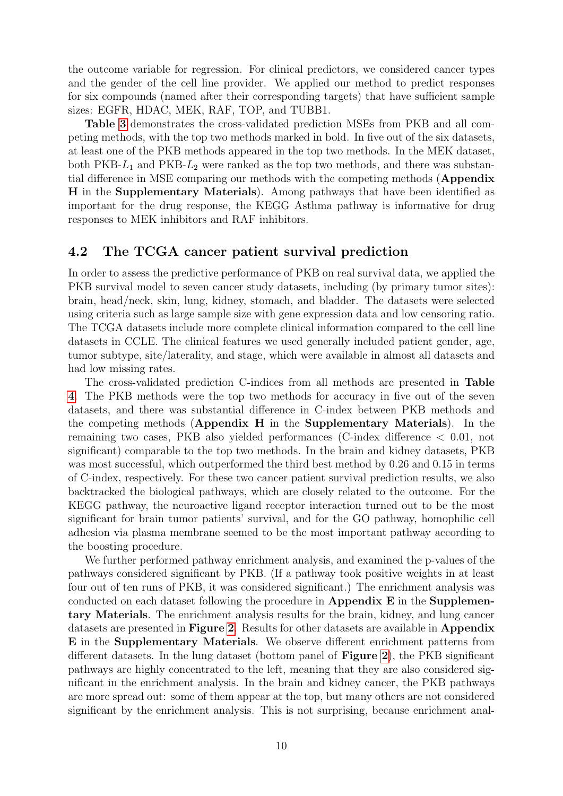the outcome variable for regression. For clinical predictors, we considered cancer types and the gender of the cell line provider. We applied our method to predict responses for six compounds (named after their corresponding targets) that have sufficient sample sizes: EGFR, HDAC, MEK, RAF, TOP, and TUBB1.

Table [3](#page-17-0) demonstrates the cross-validated prediction MSEs from PKB and all competing methods, with the top two methods marked in bold. In five out of the six datasets, at least one of the PKB methods appeared in the top two methods. In the MEK dataset, both PKB- $L_1$  and PKB- $L_2$  were ranked as the top two methods, and there was substantial difference in MSE comparing our methods with the competing methods (Appendix H in the Supplementary Materials). Among pathways that have been identified as important for the drug response, the KEGG Asthma pathway is informative for drug responses to MEK inhibitors and RAF inhibitors.

#### 4.2 The TCGA cancer patient survival prediction

In order to assess the predictive performance of PKB on real survival data, we applied the PKB survival model to seven cancer study datasets, including (by primary tumor sites): brain, head/neck, skin, lung, kidney, stomach, and bladder. The datasets were selected using criteria such as large sample size with gene expression data and low censoring ratio. The TCGA datasets include more complete clinical information compared to the cell line datasets in CCLE. The clinical features we used generally included patient gender, age, tumor subtype, site/laterality, and stage, which were available in almost all datasets and had low missing rates.

The cross-validated prediction C-indices from all methods are presented in Table [4](#page-18-0). The PKB methods were the top two methods for accuracy in five out of the seven datasets, and there was substantial difference in C-index between PKB methods and the competing methods (Appendix H in the Supplementary Materials). In the remaining two cases, PKB also yielded performances (C-index difference < 0.01, not significant) comparable to the top two methods. In the brain and kidney datasets, PKB was most successful, which outperformed the third best method by 0.26 and 0.15 in terms of C-index, respectively. For these two cancer patient survival prediction results, we also backtracked the biological pathways, which are closely related to the outcome. For the KEGG pathway, the neuroactive ligand receptor interaction turned out to be the most significant for brain tumor patients' survival, and for the GO pathway, homophilic cell adhesion via plasma membrane seemed to be the most important pathway according to the boosting procedure.

We further performed pathway enrichment analysis, and examined the p-values of the pathways considered significant by PKB. (If a pathway took positive weights in at least four out of ten runs of PKB, it was considered significant.) The enrichment analysis was conducted on each dataset following the procedure in Appendix E in the Supplementary Materials. The enrichment analysis results for the brain, kidney, and lung cancer datasets are presented in **Figure [2](#page-13-0)**. Results for other datasets are available in **Appendix** E in the Supplementary Materials. We observe different enrichment patterns from different datasets. In the lung dataset (bottom panel of Figure [2](#page-13-0)), the PKB significant pathways are highly concentrated to the left, meaning that they are also considered significant in the enrichment analysis. In the brain and kidney cancer, the PKB pathways are more spread out: some of them appear at the top, but many others are not considered significant by the enrichment analysis. This is not surprising, because enrichment anal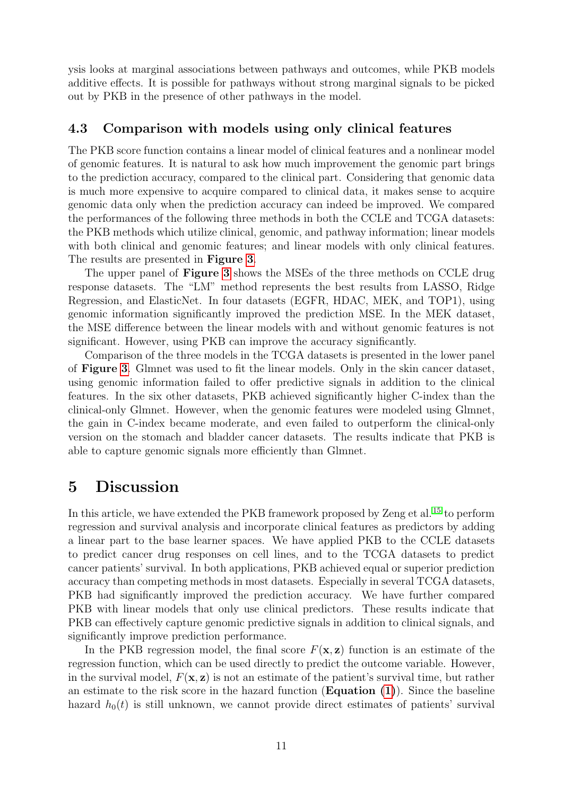ysis looks at marginal associations between pathways and outcomes, while PKB models additive effects. It is possible for pathways without strong marginal signals to be picked out by PKB in the presence of other pathways in the model.

### 4.3 Comparison with models using only clinical features

The PKB score function contains a linear model of clinical features and a nonlinear model of genomic features. It is natural to ask how much improvement the genomic part brings to the prediction accuracy, compared to the clinical part. Considering that genomic data is much more expensive to acquire compared to clinical data, it makes sense to acquire genomic data only when the prediction accuracy can indeed be improved. We compared the performances of the following three methods in both the CCLE and TCGA datasets: the PKB methods which utilize clinical, genomic, and pathway information; linear models with both clinical and genomic features; and linear models with only clinical features. The results are presented in Figure [3](#page-14-0).

The upper panel of Figure [3](#page-14-0) shows the MSEs of the three methods on CCLE drug response datasets. The "LM" method represents the best results from LASSO, Ridge Regression, and ElasticNet. In four datasets (EGFR, HDAC, MEK, and TOP1), using genomic information significantly improved the prediction MSE. In the MEK dataset, the MSE difference between the linear models with and without genomic features is not significant. However, using PKB can improve the accuracy significantly.

Comparison of the three models in the TCGA datasets is presented in the lower panel of Figure [3](#page-14-0). Glmnet was used to fit the linear models. Only in the skin cancer dataset, using genomic information failed to offer predictive signals in addition to the clinical features. In the six other datasets, PKB achieved significantly higher C-index than the clinical-only Glmnet. However, when the genomic features were modeled using Glmnet, the gain in C-index became moderate, and even failed to outperform the clinical-only version on the stomach and bladder cancer datasets. The results indicate that PKB is able to capture genomic signals more efficiently than Glmnet.

### 5 Discussion

In this article, we have extended the PKB framework proposed by Zeng et al.<sup>[15](#page-31-1)</sup> to perform regression and survival analysis and incorporate clinical features as predictors by adding a linear part to the base learner spaces. We have applied PKB to the CCLE datasets to predict cancer drug responses on cell lines, and to the TCGA datasets to predict cancer patients' survival. In both applications, PKB achieved equal or superior prediction accuracy than competing methods in most datasets. Especially in several TCGA datasets, PKB had significantly improved the prediction accuracy. We have further compared PKB with linear models that only use clinical predictors. These results indicate that PKB can effectively capture genomic predictive signals in addition to clinical signals, and significantly improve prediction performance.

In the PKB regression model, the final score  $F(\mathbf{x}, \mathbf{z})$  function is an estimate of the regression function, which can be used directly to predict the outcome variable. However, in the survival model,  $F(\mathbf{x}, \mathbf{z})$  is not an estimate of the patient's survival time, but rather an estimate to the risk score in the hazard function  $(Equation (1))$  $(Equation (1))$  $(Equation (1))$ . Since the baseline hazard  $h_0(t)$  is still unknown, we cannot provide direct estimates of patients' survival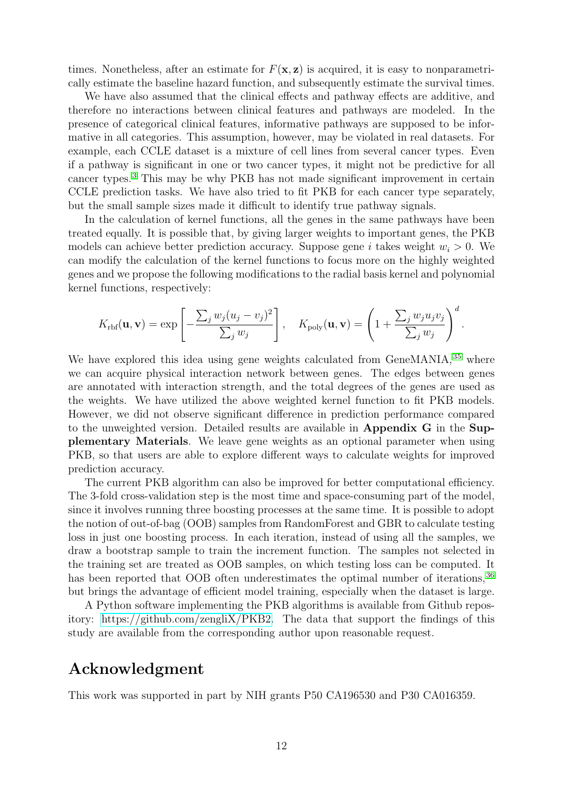times. Nonetheless, after an estimate for  $F(\mathbf{x}, \mathbf{z})$  is acquired, it is easy to nonparametrically estimate the baseline hazard function, and subsequently estimate the survival times.

We have also assumed that the clinical effects and pathway effects are additive, and therefore no interactions between clinical features and pathways are modeled. In the presence of categorical clinical features, informative pathways are supposed to be informative in all categories. This assumption, however, may be violated in real datasets. For example, each CCLE dataset is a mixture of cell lines from several cancer types. Even if a pathway is significant in one or two cancer types, it might not be predictive for all cancer types.[3](#page-30-11) This may be why PKB has not made significant improvement in certain CCLE prediction tasks. We have also tried to fit PKB for each cancer type separately, but the small sample sizes made it difficult to identify true pathway signals.

In the calculation of kernel functions, all the genes in the same pathways have been treated equally. It is possible that, by giving larger weights to important genes, the PKB models can achieve better prediction accuracy. Suppose gene i takes weight  $w_i > 0$ . We can modify the calculation of the kernel functions to focus more on the highly weighted genes and we propose the following modifications to the radial basis kernel and polynomial kernel functions, respectively:

$$
K_{\rm{rbf}}(\mathbf{u}, \mathbf{v}) = \exp\left[-\frac{\sum_j w_j (u_j - v_j)^2}{\sum_j w_j}\right], \quad K_{\rm{poly}}(\mathbf{u}, \mathbf{v}) = \left(1 + \frac{\sum_j w_j u_j v_j}{\sum_j w_j}\right)^d.
$$

We have explored this idea using gene weights calculated from GeneMANIA,  $35$  where we can acquire physical interaction network between genes. The edges between genes are annotated with interaction strength, and the total degrees of the genes are used as the weights. We have utilized the above weighted kernel function to fit PKB models. However, we did not observe significant difference in prediction performance compared to the unweighted version. Detailed results are available in Appendix G in the Supplementary Materials. We leave gene weights as an optional parameter when using PKB, so that users are able to explore different ways to calculate weights for improved prediction accuracy.

The current PKB algorithm can also be improved for better computational efficiency. The 3-fold cross-validation step is the most time and space-consuming part of the model, since it involves running three boosting processes at the same time. It is possible to adopt the notion of out-of-bag (OOB) samples from RandomForest and GBR to calculate testing loss in just one boosting process. In each iteration, instead of using all the samples, we draw a bootstrap sample to train the increment function. The samples not selected in the training set are treated as OOB samples, on which testing loss can be computed. It has been reported that OOB often underestimates the optimal number of iterations, <sup>[36](#page-32-7)</sup> but brings the advantage of efficient model training, especially when the dataset is large.

A Python software implementing the PKB algorithms is available from Github repository: [https://github.com/zengliX/PKB2.](https://github.com/zengliX/PKB) The data that support the findings of this study are available from the corresponding author upon reasonable request.

### Acknowledgment

This work was supported in part by NIH grants P50 CA196530 and P30 CA016359.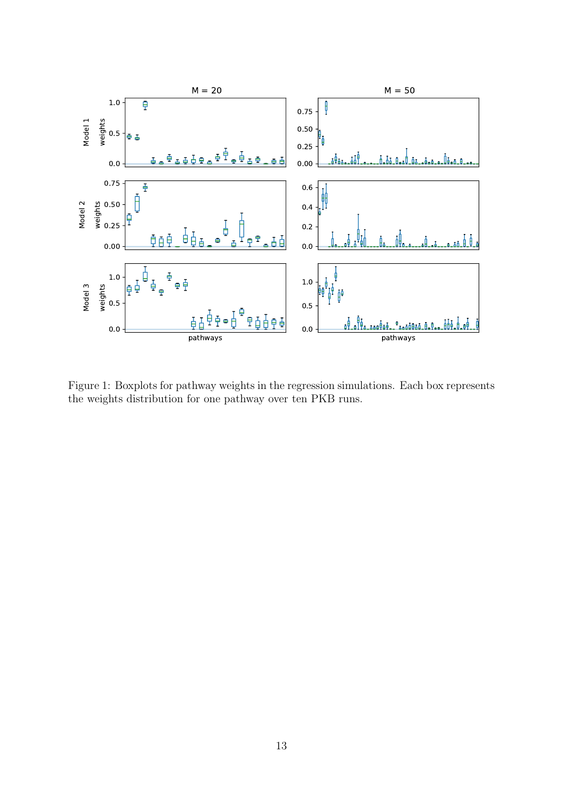

<span id="page-12-0"></span>Figure 1: Boxplots for pathway weights in the regression simulations. Each box represents the weights distribution for one pathway over ten PKB runs.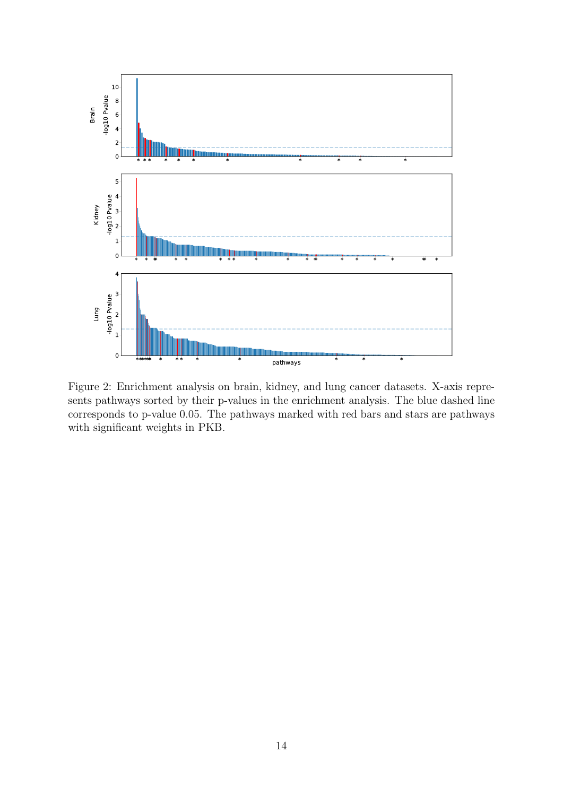

<span id="page-13-0"></span>Figure 2: Enrichment analysis on brain, kidney, and lung cancer datasets. X-axis represents pathways sorted by their p-values in the enrichment analysis. The blue dashed line corresponds to p-value 0.05. The pathways marked with red bars and stars are pathways with significant weights in PKB.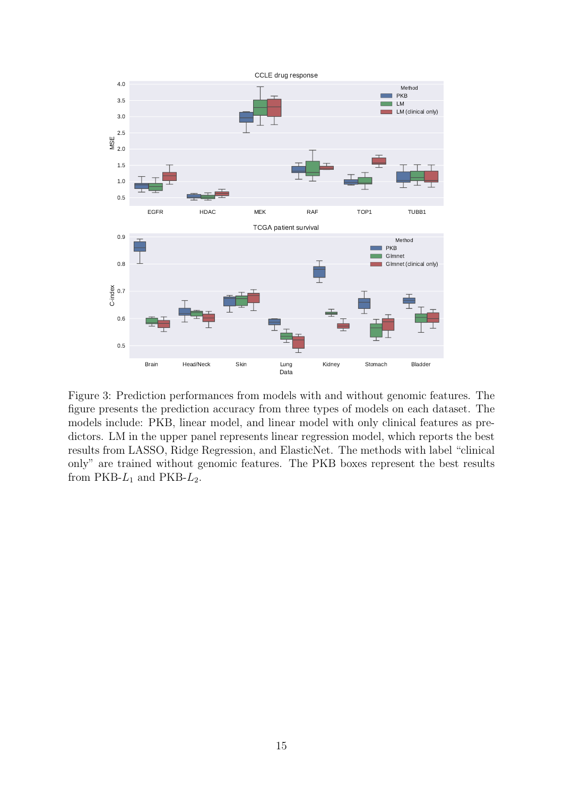

<span id="page-14-0"></span>Figure 3: Prediction performances from models with and without genomic features. The figure presents the prediction accuracy from three types of models on each dataset. The models include: PKB, linear model, and linear model with only clinical features as predictors. LM in the upper panel represents linear regression model, which reports the best results from LASSO, Ridge Regression, and ElasticNet. The methods with label "clinical only" are trained without genomic features. The PKB boxes represent the best results from  $PKB-L_1$  and  $PKB-L_2$ .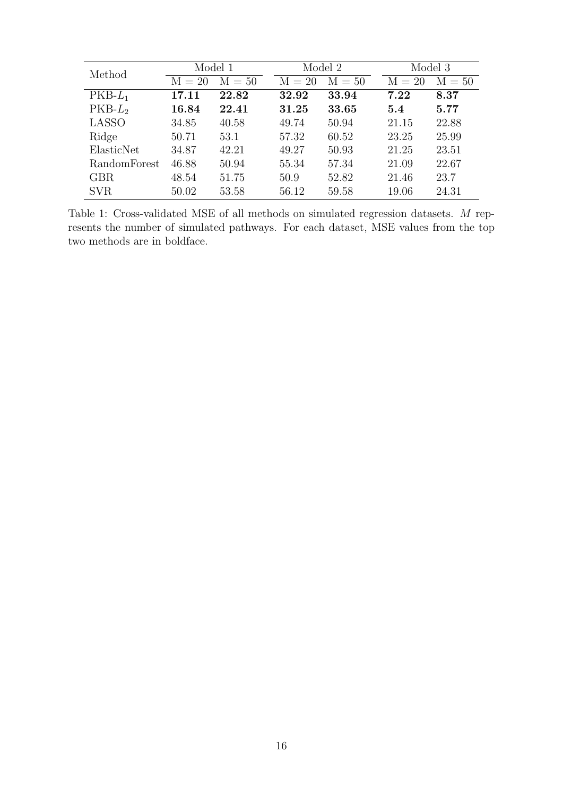| Method       | Model 1  |          |          | Model 2  | Model 3  |          |
|--------------|----------|----------|----------|----------|----------|----------|
|              | $M = 20$ | $M = 50$ | $M = 20$ | $M = 50$ | $M = 20$ | $M = 50$ |
| $PKB-L_1$    | 17.11    | 22.82    | 32.92    | 33.94    | 7.22     | 8.37     |
| $PKB-L2$     | 16.84    | 22.41    | 31.25    | 33.65    | 5.4      | 5.77     |
| <b>LASSO</b> | 34.85    | 40.58    | 49.74    | 50.94    | 21.15    | 22.88    |
| Ridge        | 50.71    | 53.1     | 57.32    | 60.52    | 23.25    | 25.99    |
| ElasticNet   | 34.87    | 42.21    | 49.27    | 50.93    | 21.25    | 23.51    |
| RandomForest | 46.88    | 50.94    | 55.34    | 57.34    | 21.09    | 22.67    |
| <b>GBR</b>   | 48.54    | 51.75    | 50.9     | 52.82    | 21.46    | 23.7     |
| <b>SVR</b>   | 50.02    | 53.58    | 56.12    | 59.58    | 19.06    | 24.31    |

<span id="page-15-0"></span>Table 1: Cross-validated MSE of all methods on simulated regression datasets. M represents the number of simulated pathways. For each dataset, MSE values from the top two methods are in boldface.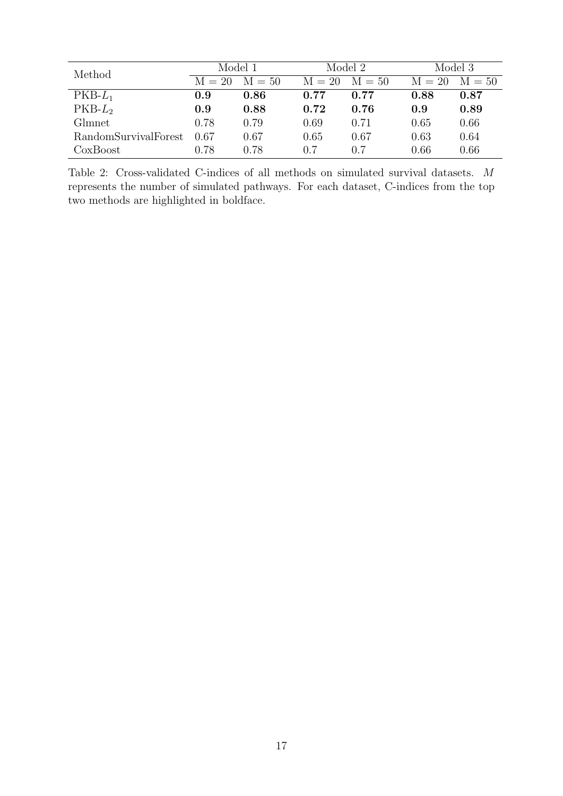| Method               | Model 1  |          |          | Model 2  | Model 3  |          |  |
|----------------------|----------|----------|----------|----------|----------|----------|--|
|                      | $M = 20$ | $M = 50$ | $M = 20$ | $M = 50$ | $M = 20$ | $M = 50$ |  |
| $PKB-L_1$            | 0.9      | 0.86     | 0.77     | 0.77     | 0.88     | 0.87     |  |
| $PKB-L2$             | 0.9      | 0.88     | 0.72     | 0.76     | 0.9      | 0.89     |  |
| Glmnet               | 0.78     | 0.79     | 0.69     | 0.71     | 0.65     | 0.66     |  |
| RandomSurvivalForest | 0.67     | 0.67     | 0.65     | 0.67     | 0.63     | 0.64     |  |
| CoxBoost             | 0.78     | 0.78     | 0.7      | 0.7      | 0.66     | 0.66     |  |

<span id="page-16-0"></span>Table 2: Cross-validated C-indices of all methods on simulated survival datasets. M represents the number of simulated pathways. For each dataset, C-indices from the top two methods are highlighted in boldface.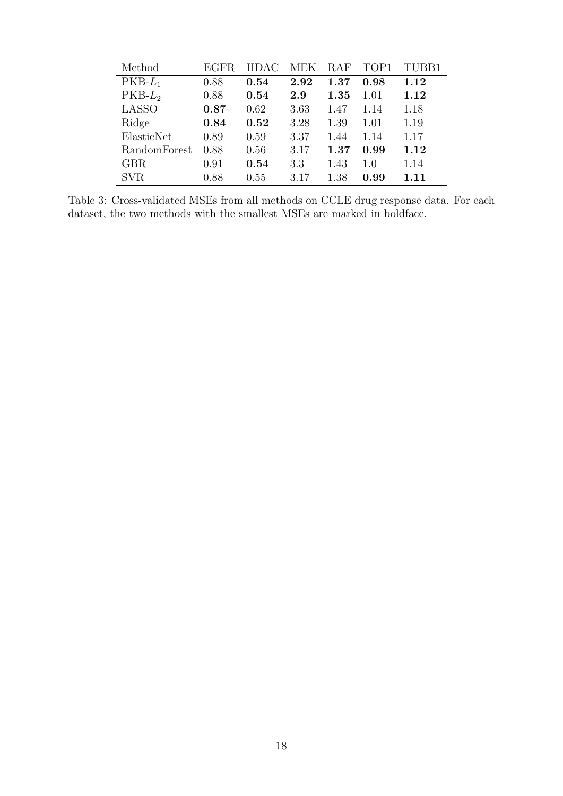| Method       | <b>EGFR</b> | HDAC. | MEK  | RAF      | TOP1 | TUBB1 |
|--------------|-------------|-------|------|----------|------|-------|
| $PKB-L_1$    | 0.88        | 0.54  | 2.92 | $1.37\,$ | 0.98 | 1.12  |
| $PKB-L2$     | 0.88        | 0.54  | 2.9  | 1.35     | 1.01 | 1.12  |
| <b>LASSO</b> | 0.87        | 0.62  | 3.63 | 1.47     | 1.14 | 1.18  |
| Ridge        | 0.84        | 0.52  | 3.28 | 1.39     | 1.01 | 1.19  |
| ElasticNet   | 0.89        | 0.59  | 3.37 | 1.44     | 1.14 | 1.17  |
| RandomForest | 0.88        | 0.56  | 3.17 | $1.37\,$ | 0.99 | 1.12  |
| <b>GBR</b>   | 0.91        | 0.54  | 3.3  | 1.43     | 1.0  | 1.14  |
| <b>SVR</b>   | 0.88        | 0.55  | 3.17 | 1.38     | 0.99 | 1.11  |

<span id="page-17-0"></span>Table 3: Cross-validated MSEs from all methods on CCLE drug response data. For each dataset, the two methods with the smallest MSEs are marked in boldface.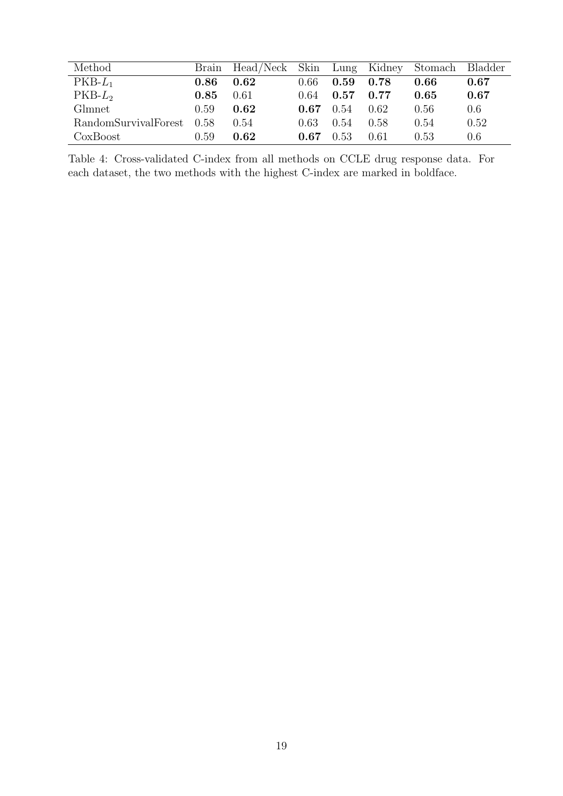| Method               |      | Brain Head/Neck Skin Lung Kidney Stomach Bladder |      |      |      |      |      |
|----------------------|------|--------------------------------------------------|------|------|------|------|------|
| $PKB-L_1$            | 0.86 | 0.62                                             | 0.66 | 0.59 | 0.78 | 0.66 | 0.67 |
| $PKB-L2$             | 0.85 | 0.61                                             | 0.64 | 0.57 | 0.77 | 0.65 | 0.67 |
| Glmnet               | 0.59 | 0.62                                             | 0.67 | 0.54 | 0.62 | 0.56 | 0.6  |
| RandomSurvivalForest | 0.58 | 0.54                                             | 0.63 | 0.54 | 0.58 | 0.54 | 0.52 |
| CoxBoost             | 0.59 | 0.62                                             | 0.67 | 0.53 | 0.61 | 0.53 | 0.6  |

<span id="page-18-0"></span>Table 4: Cross-validated C-index from all methods on CCLE drug response data. For each dataset, the two methods with the highest C-index are marked in boldface.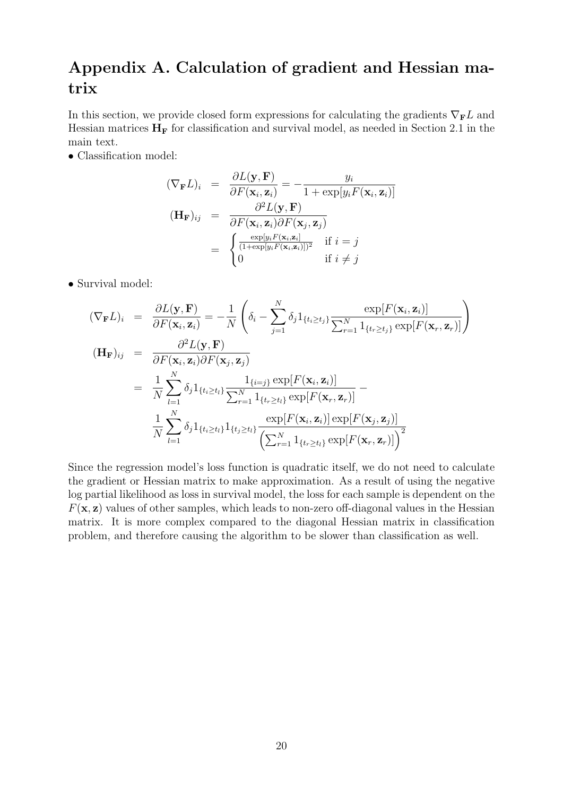### Appendix A. Calculation of gradient and Hessian matrix

In this section, we provide closed form expressions for calculating the gradients  $\nabla_{\mathbf{F}}L$  and Hessian matrices  $H_F$  for classification and survival model, as needed in Section 2.1 in the main text.

• Classification model:

$$
(\nabla_{\mathbf{F}} L)_i = \frac{\partial L(\mathbf{y}, \mathbf{F})}{\partial F(\mathbf{x}_i, \mathbf{z}_i)} = -\frac{y_i}{1 + \exp[y_i F(\mathbf{x}_i, \mathbf{z}_i)]}
$$
  
\n
$$
(\mathbf{H}_{\mathbf{F}})_{ij} = \frac{\partial^2 L(\mathbf{y}, \mathbf{F})}{\partial F(\mathbf{x}_i, \mathbf{z}_i) \partial F(\mathbf{x}_j, \mathbf{z}_j)}
$$
  
\n
$$
= \begin{cases} \frac{\exp[y_i F(\mathbf{x}_i, \mathbf{z}_i)]}{(1 + \exp[y_i F(\mathbf{x}_i, \mathbf{z}_i)])^2} & \text{if } i = j \\ 0 & \text{if } i \neq j \end{cases}
$$

• Survival model:

$$
(\nabla_{\mathbf{F}}L)_i = \frac{\partial L(\mathbf{y}, \mathbf{F})}{\partial F(\mathbf{x}_i, \mathbf{z}_i)} = -\frac{1}{N} \left( \delta_i - \sum_{j=1}^N \delta_j \mathbf{1}_{\{t_i \ge t_j\}} \frac{\exp[F(\mathbf{x}_i, \mathbf{z}_i)]}{\sum_{r=1}^N \mathbf{1}_{\{t_r \ge t_j\}} \exp[F(\mathbf{x}_r, \mathbf{z}_r)]} \right)
$$
  
\n
$$
(\mathbf{H}_{\mathbf{F}})_{ij} = \frac{\partial^2 L(\mathbf{y}, \mathbf{F})}{\partial F(\mathbf{x}_i, \mathbf{z}_i) \partial F(\mathbf{x}_j, \mathbf{z}_j)}
$$
  
\n
$$
= \frac{1}{N} \sum_{l=1}^N \delta_j \mathbf{1}_{\{t_i \ge t_l\}} \frac{\mathbf{1}_{\{i=j\}} \exp[F(\mathbf{x}_i, \mathbf{z}_i)]}{\sum_{r=1}^N \mathbf{1}_{\{t_r \ge t_l\}} \exp[F(\mathbf{x}_r, \mathbf{z}_r)]} - \frac{1}{N} \sum_{l=1}^N \delta_j \mathbf{1}_{\{t_i \ge t_l\}} \mathbf{1}_{\{t_j \ge t_l\}} \frac{\exp[F(\mathbf{x}_i, \mathbf{z}_i)] \exp[F(\mathbf{x}_j, \mathbf{z}_j)]}{\left(\sum_{r=1}^N \mathbf{1}_{\{t_r \ge t_l\}} \exp[F(\mathbf{x}_r, \mathbf{z}_r)]\right)^2}
$$

Since the regression model's loss function is quadratic itself, we do not need to calculate the gradient or Hessian matrix to make approximation. As a result of using the negative log partial likelihood as loss in survival model, the loss for each sample is dependent on the  $F(\mathbf{x}, \mathbf{z})$  values of other samples, which leads to non-zero off-diagonal values in the Hessian matrix. It is more complex compared to the diagonal Hessian matrix in classification problem, and therefore causing the algorithm to be slower than classification as well.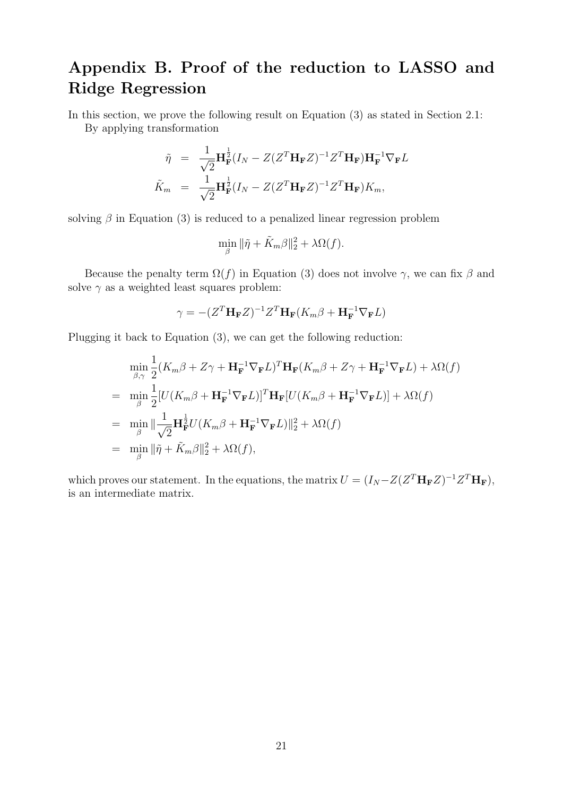## Appendix B. Proof of the reduction to LASSO and Ridge Regression

In this section, we prove the following result on Equation (3) as stated in Section 2.1: By applying transformation

$$
\tilde{\eta} = \frac{1}{\sqrt{2}} \mathbf{H}_{\mathbf{F}}^{\frac{1}{2}} (I_N - Z(Z^T \mathbf{H}_{\mathbf{F}} Z)^{-1} Z^T \mathbf{H}_{\mathbf{F}}) \mathbf{H}_{\mathbf{F}}^{-1} \nabla_{\mathbf{F}} L
$$
  

$$
\tilde{K}_m = \frac{1}{\sqrt{2}} \mathbf{H}_{\mathbf{F}}^{\frac{1}{2}} (I_N - Z(Z^T \mathbf{H}_{\mathbf{F}} Z)^{-1} Z^T \mathbf{H}_{\mathbf{F}}) K_m,
$$

solving  $\beta$  in Equation (3) is reduced to a penalized linear regression problem

$$
\min_{\beta} \|\tilde{\eta} + \tilde{K}_m \beta\|_2^2 + \lambda \Omega(f).
$$

Because the penalty term  $\Omega(f)$  in Equation (3) does not involve  $\gamma$ , we can fix  $\beta$  and solve  $\gamma$  as a weighted least squares problem:

$$
\gamma = -(Z^T \mathbf{H}_{\mathbf{F}} Z)^{-1} Z^T \mathbf{H}_{\mathbf{F}} (K_m \beta + \mathbf{H}_{\mathbf{F}}^{-1} \nabla_{\mathbf{F}} L)
$$

Plugging it back to Equation (3), we can get the following reduction:

$$
\min_{\beta,\gamma} \frac{1}{2} (K_m \beta + Z\gamma + \mathbf{H}_{\mathbf{F}}^{-1} \nabla_{\mathbf{F}} L)^T \mathbf{H}_{\mathbf{F}} (K_m \beta + Z\gamma + \mathbf{H}_{\mathbf{F}}^{-1} \nabla_{\mathbf{F}} L) + \lambda \Omega(f)
$$
\n
$$
= \min_{\beta} \frac{1}{2} [U(K_m \beta + \mathbf{H}_{\mathbf{F}}^{-1} \nabla_{\mathbf{F}} L)]^T \mathbf{H}_{\mathbf{F}} [U(K_m \beta + \mathbf{H}_{\mathbf{F}}^{-1} \nabla_{\mathbf{F}} L)] + \lambda \Omega(f)
$$
\n
$$
= \min_{\beta} \|\frac{1}{\sqrt{2}} \mathbf{H}_{\mathbf{F}}^{\frac{1}{2}} U(K_m \beta + \mathbf{H}_{\mathbf{F}}^{-1} \nabla_{\mathbf{F}} L) \|_{2}^2 + \lambda \Omega(f)
$$
\n
$$
= \min_{\beta} \|\tilde{\eta} + \tilde{K}_m \beta \|_{2}^2 + \lambda \Omega(f),
$$

which proves our statement. In the equations, the matrix  $U = (I_N - Z(Z^T \mathbf{H}_{\mathbf{F}} Z)^{-1} Z^T \mathbf{H}_{\mathbf{F}})$ , is an intermediate matrix.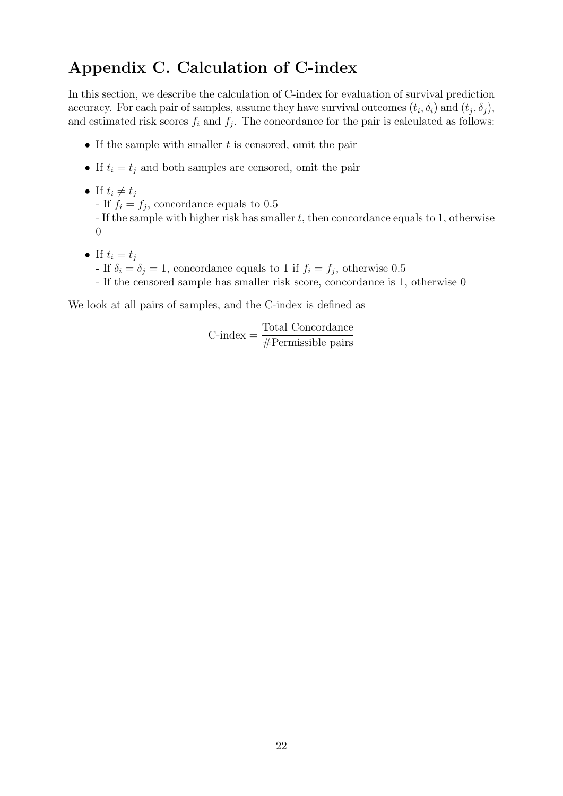### Appendix C. Calculation of C-index

In this section, we describe the calculation of C-index for evaluation of survival prediction accuracy. For each pair of samples, assume they have survival outcomes  $(t_i, \delta_i)$  and  $(t_j, \delta_j)$ , and estimated risk scores  $f_i$  and  $f_j$ . The concordance for the pair is calculated as follows:

- If the sample with smaller  $t$  is censored, omit the pair
- If  $t_i = t_j$  and both samples are censored, omit the pair
- If  $t_i \neq t_j$ - If  $f_i = f_j$ , concordance equals to 0.5 - If the sample with higher risk has smaller  $t$ , then concordance equals to 1, otherwise 0
- If  $t_i = t_j$ - If  $\delta_i = \delta_j = 1$ , concordance equals to 1 if  $f_i = f_j$ , otherwise 0.5 - If the censored sample has smaller risk score, concordance is 1, otherwise 0

We look at all pairs of samples, and the C-index is defined as

 $C$ -index  $=$   $\frac{\text{Total Concordance}}{\text{ND } \cdot \cdot \cdot \text{N}}$ #Permissible pairs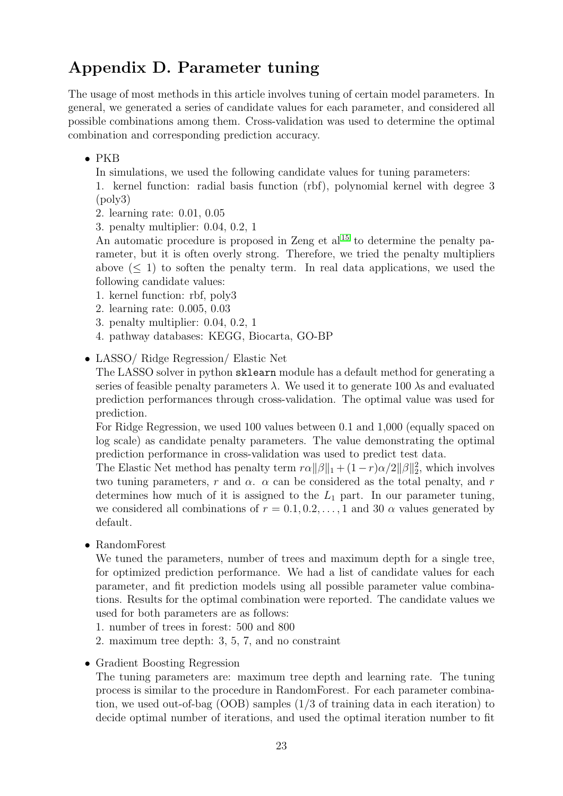### Appendix D. Parameter tuning

The usage of most methods in this article involves tuning of certain model parameters. In general, we generated a series of candidate values for each parameter, and considered all possible combinations among them. Cross-validation was used to determine the optimal combination and corresponding prediction accuracy.

#### • PKB

In simulations, we used the following candidate values for tuning parameters:

1. kernel function: radial basis function (rbf), polynomial kernel with degree 3 (poly3)

- 2. learning rate: 0.01, 0.05
- 3. penalty multiplier: 0.04, 0.2, 1

An automatic procedure is proposed in Zeng et al<sup>[15](#page-31-1)</sup> to determine the penalty parameter, but it is often overly strong. Therefore, we tried the penalty multipliers above  $(< 1)$  to soften the penalty term. In real data applications, we used the following candidate values:

- 1. kernel function: rbf, poly3
- 2. learning rate: 0.005, 0.03
- 3. penalty multiplier: 0.04, 0.2, 1
- 4. pathway databases: KEGG, Biocarta, GO-BP
- LASSO/ Ridge Regression/ Elastic Net

The LASSO solver in python sklearn module has a default method for generating a series of feasible penalty parameters  $\lambda$ . We used it to generate 100  $\lambda$ s and evaluated prediction performances through cross-validation. The optimal value was used for prediction.

For Ridge Regression, we used 100 values between 0.1 and 1,000 (equally spaced on log scale) as candidate penalty parameters. The value demonstrating the optimal prediction performance in cross-validation was used to predict test data.

The Elastic Net method has penalty term  $r\alpha ||\beta||_1 + (1-r)\alpha/2||\beta||_2^2$ , which involves two tuning parameters, r and  $\alpha$ .  $\alpha$  can be considered as the total penalty, and r determines how much of it is assigned to the  $L_1$  part. In our parameter tuning, we considered all combinations of  $r = 0.1, 0.2, \ldots, 1$  and 30  $\alpha$  values generated by default.

• RandomForest

We tuned the parameters, number of trees and maximum depth for a single tree, for optimized prediction performance. We had a list of candidate values for each parameter, and fit prediction models using all possible parameter value combinations. Results for the optimal combination were reported. The candidate values we used for both parameters are as follows:

- 1. number of trees in forest: 500 and 800
- 2. maximum tree depth: 3, 5, 7, and no constraint
- Gradient Boosting Regression

The tuning parameters are: maximum tree depth and learning rate. The tuning process is similar to the procedure in RandomForest. For each parameter combination, we used out-of-bag (OOB) samples (1/3 of training data in each iteration) to decide optimal number of iterations, and used the optimal iteration number to fit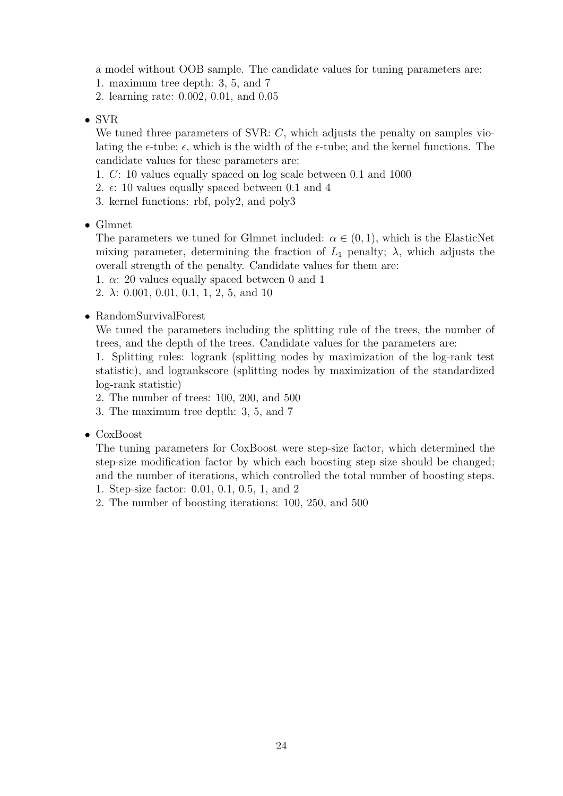a model without OOB sample. The candidate values for tuning parameters are:

- 1. maximum tree depth: 3, 5, and 7
- 2. learning rate: 0.002, 0.01, and 0.05
- SVR

We tuned three parameters of SVR: C, which adjusts the penalty on samples violating the  $\epsilon$ -tube;  $\epsilon$ , which is the width of the  $\epsilon$ -tube; and the kernel functions. The candidate values for these parameters are:

- 1. C: 10 values equally spaced on log scale between 0.1 and 1000
- 2.  $\epsilon$ : 10 values equally spaced between 0.1 and 4
- 3. kernel functions: rbf, poly2, and poly3
- Glmnet

The parameters we tuned for Glmnet included:  $\alpha \in (0,1)$ , which is the ElasticNet mixing parameter, determining the fraction of  $L_1$  penalty;  $\lambda$ , which adjusts the overall strength of the penalty. Candidate values for them are:

- 1.  $\alpha$ : 20 values equally spaced between 0 and 1
- 2.  $\lambda$ : 0.001, 0.01, 0.1, 1, 2, 5, and 10
- RandomSurvivalForest

We tuned the parameters including the splitting rule of the trees, the number of trees, and the depth of the trees. Candidate values for the parameters are:

1. Splitting rules: logrank (splitting nodes by maximization of the log-rank test statistic), and logrankscore (splitting nodes by maximization of the standardized log-rank statistic)

- 2. The number of trees: 100, 200, and 500
- 3. The maximum tree depth: 3, 5, and 7
- CoxBoost

The tuning parameters for CoxBoost were step-size factor, which determined the step-size modification factor by which each boosting step size should be changed; and the number of iterations, which controlled the total number of boosting steps.

- 1. Step-size factor: 0.01, 0.1, 0.5, 1, and 2
- 2. The number of boosting iterations: 100, 250, and 500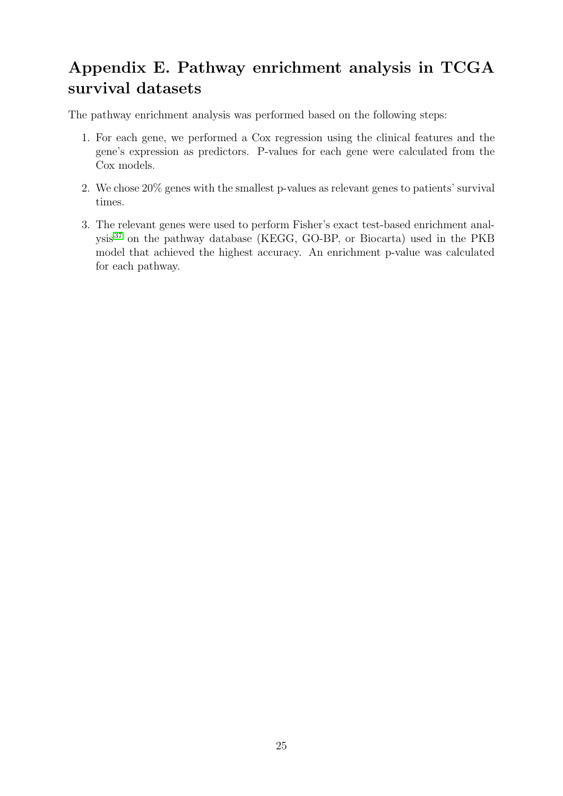## Appendix E. Pathway enrichment analysis in TCGA survival datasets

The pathway enrichment analysis was performed based on the following steps:

- 1. For each gene, we performed a Cox regression using the clinical features and the gene's expression as predictors. P-values for each gene were calculated from the Cox models.
- 2. We chose 20% genes with the smallest p-values as relevant genes to patients' survival times.
- 3. The relevant genes were used to perform Fisher's exact test-based enrichment analysis[37](#page-32-8) on the pathway database (KEGG, GO-BP, or Biocarta) used in the PKB model that achieved the highest accuracy. An enrichment p-value was calculated for each pathway.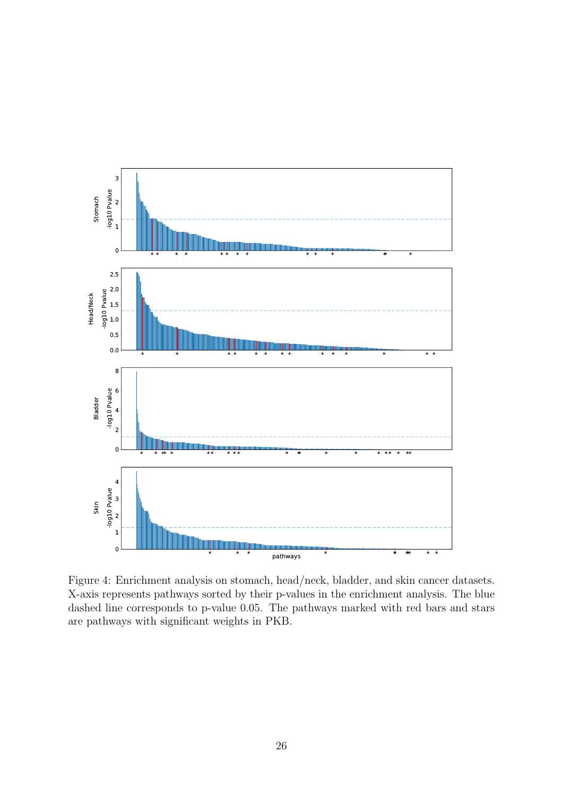

Figure 4: Enrichment analysis on stomach, head/neck, bladder, and skin cancer datasets. X-axis represents pathways sorted by their p-values in the enrichment analysis. The blue dashed line corresponds to p-value 0.05. The pathways marked with red bars and stars are pathways with significant weights in PKB.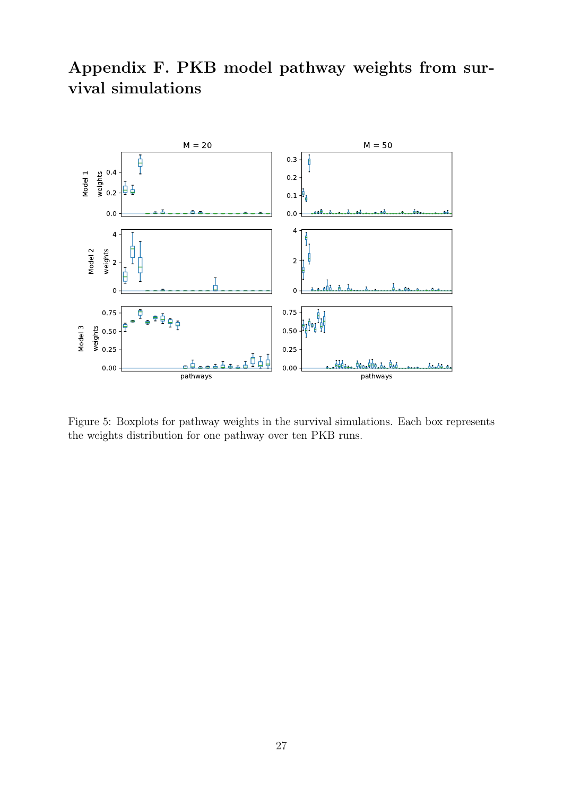## Appendix F. PKB model pathway weights from survival simulations



Figure 5: Boxplots for pathway weights in the survival simulations. Each box represents the weights distribution for one pathway over ten PKB runs.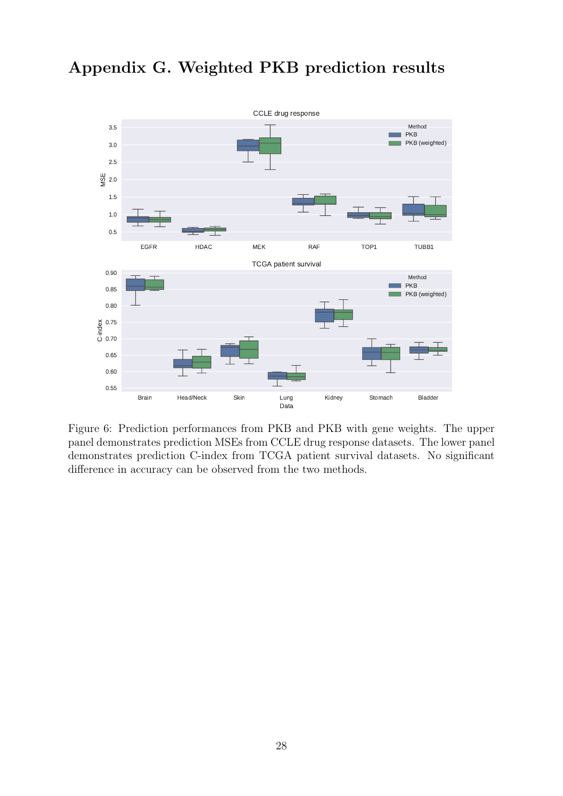

## Appendix G. Weighted PKB prediction results

Figure 6: Prediction performances from PKB and PKB with gene weights. The upper panel demonstrates prediction MSEs from CCLE drug response datasets. The lower panel demonstrates prediction C-index from TCGA patient survival datasets. No significant difference in accuracy can be observed from the two methods.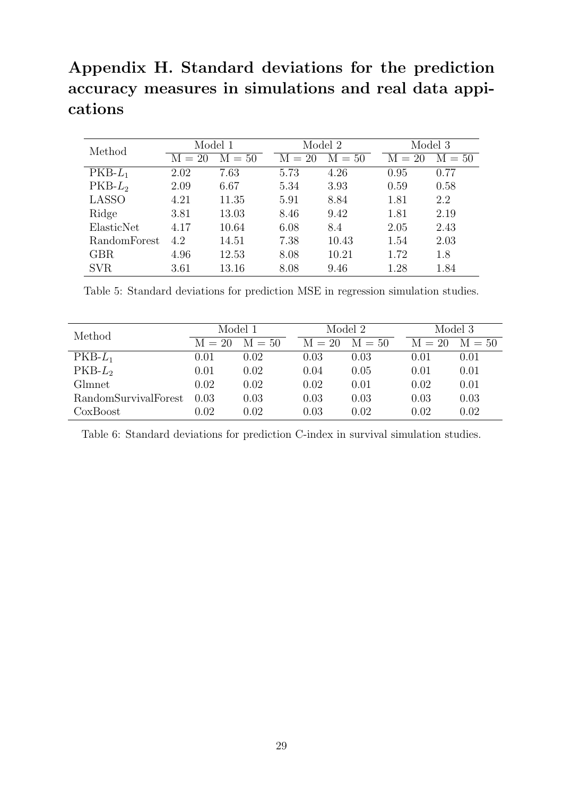## Appendix H. Standard deviations for the prediction accuracy measures in simulations and real data appications

| Method       | Model 1  |          |          | Model 2  | Model 3  |          |  |
|--------------|----------|----------|----------|----------|----------|----------|--|
|              | $M = 20$ | $M = 50$ | $M = 20$ | $M = 50$ | $M = 20$ | $M = 50$ |  |
| $PKB-L_1$    | 2.02     | 7.63     | 5.73     | 4.26     | 0.95     | 0.77     |  |
| $PKB-L2$     | 2.09     | 6.67     | 5.34     | 3.93     | 0.59     | 0.58     |  |
| <b>LASSO</b> | 4.21     | 11.35    | 5.91     | 8.84     | 1.81     | 2.2      |  |
| Ridge        | 3.81     | 13.03    | 8.46     | 9.42     | 1.81     | 2.19     |  |
| ElasticNet   | 4.17     | 10.64    | 6.08     | 8.4      | 2.05     | 2.43     |  |
| RandomForest | 4.2      | 14.51    | 7.38     | 10.43    | 1.54     | 2.03     |  |
| GBR          | 4.96     | 12.53    | 8.08     | 10.21    | 1.72     | 1.8      |  |
| SVR.         | 3.61     | 13.16    | 8.08     | 9.46     | 1.28     | 1.84     |  |

Table 5: Standard deviations for prediction MSE in regression simulation studies.

| Method               | Model 1  |          |          | Model 2  | Model 3  |          |
|----------------------|----------|----------|----------|----------|----------|----------|
|                      | $M = 20$ | $M = 50$ | $M = 20$ | $M = 50$ | $M = 20$ | $M = 50$ |
| $PKB-L_1$            | 0.01     | 0.02     | 0.03     | 0.03     | 0.01     | 0.01     |
| $PKB-L2$             | 0.01     | 0.02     | 0.04     | 0.05     | 0.01     | 0.01     |
| Glmnet               | 0.02     | 0.02     | 0.02     | 0.01     | 0.02     | 0.01     |
| RandomSurvivalForest | 0.03     | 0.03     | 0.03     | 0.03     | 0.03     | 0.03     |
| CoxBoost             | 0.02     | 0.02     | 0.03     | 0.02     | 0.02     | 0.02     |

Table 6: Standard deviations for prediction C-index in survival simulation studies.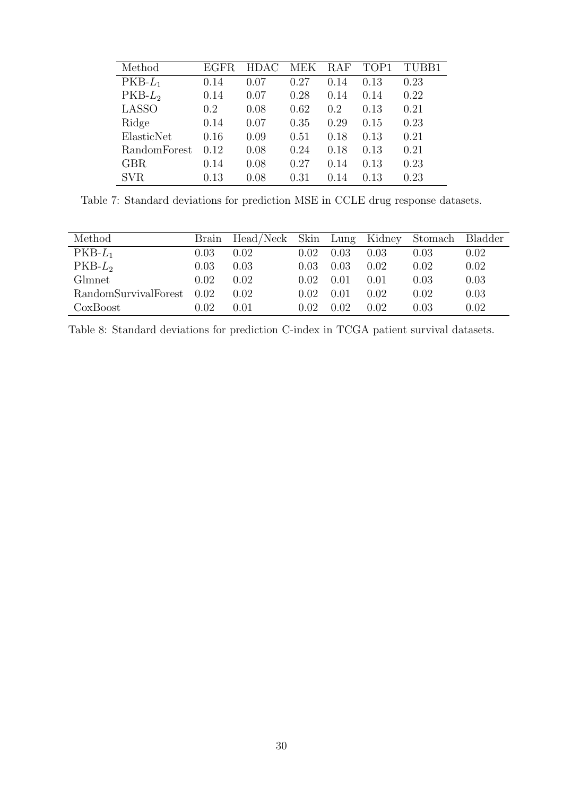| Method       | EGFR. | HDAC. | MEK  | <b>RAF</b> | TOP1 | TUBB1 |
|--------------|-------|-------|------|------------|------|-------|
| $PKB-L_1$    | 0.14  | 0.07  | 0.27 | 0.14       | 0.13 | 0.23  |
| $PKB-L2$     | 0.14  | 0.07  | 0.28 | 0.14       | 0.14 | 0.22  |
| <b>LASSO</b> | 0.2   | 0.08  | 0.62 | 0.2        | 0.13 | 0.21  |
| Ridge        | 0.14  | 0.07  | 0.35 | 0.29       | 0.15 | 0.23  |
| ElasticNet   | 0.16  | 0.09  | 0.51 | 0.18       | 0.13 | 0.21  |
| RandomForest | 0.12  | 0.08  | 0.24 | 0.18       | 0.13 | 0.21  |
| <b>GBR</b>   | 0.14  | 0.08  | 0.27 | 0.14       | 0.13 | 0.23  |
| <b>SVR</b>   | 0.13  | 0.08  | 0.31 | 0.14       | 0.13 | 0.23  |

Table 7: Standard deviations for prediction MSE in CCLE drug response datasets.

| Method               |                | Brain Head/Neck Skin Lung Kidney Stomach Bladder |       |      |      |      |      |
|----------------------|----------------|--------------------------------------------------|-------|------|------|------|------|
| $PKB-L_1$            | 0.03           | 0.02                                             | 0.02  | 0.03 | 0.03 | 0.03 | 0.02 |
| $PKB-L2$             | 0.03           | 0.03                                             | 0.03  | 0.03 | 0.02 | 0.02 | 0.02 |
| Glmnet               | 0.02           | 0.02                                             | 0.02  | 0.01 | 0.01 | 0.03 | 0.03 |
| RandomSurvivalForest | 0.02           | 0.02                                             | 0.02. | 0.01 | 0.02 | 0.02 | 0.03 |
| CoxBoost             | $0.02^{\circ}$ | 0.01                                             | 0.02  | 0.02 | 0.02 | 0.03 | 0.02 |

Table 8: Standard deviations for prediction C-index in TCGA patient survival datasets.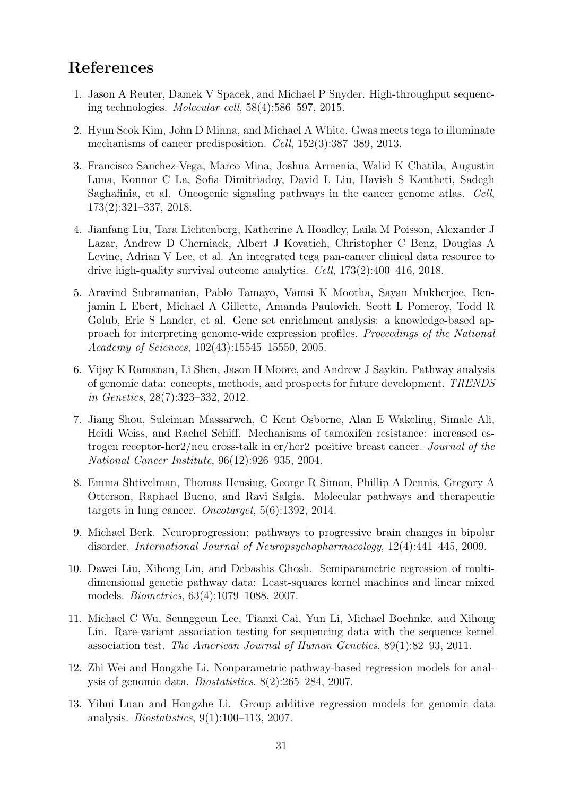### References

- <span id="page-30-0"></span>1. Jason A Reuter, Damek V Spacek, and Michael P Snyder. High-throughput sequencing technologies. Molecular cell, 58(4):586–597, 2015.
- <span id="page-30-1"></span>2. Hyun Seok Kim, John D Minna, and Michael A White. Gwas meets tcga to illuminate mechanisms of cancer predisposition. Cell, 152(3):387–389, 2013.
- <span id="page-30-11"></span>3. Francisco Sanchez-Vega, Marco Mina, Joshua Armenia, Walid K Chatila, Augustin Luna, Konnor C La, Sofia Dimitriadoy, David L Liu, Havish S Kantheti, Sadegh Saghafinia, et al. Oncogenic signaling pathways in the cancer genome atlas. Cell, 173(2):321–337, 2018.
- <span id="page-30-2"></span>4. Jianfang Liu, Tara Lichtenberg, Katherine A Hoadley, Laila M Poisson, Alexander J Lazar, Andrew D Cherniack, Albert J Kovatich, Christopher C Benz, Douglas A Levine, Adrian V Lee, et al. An integrated tcga pan-cancer clinical data resource to drive high-quality survival outcome analytics. Cell, 173(2):400–416, 2018.
- <span id="page-30-3"></span>5. Aravind Subramanian, Pablo Tamayo, Vamsi K Mootha, Sayan Mukherjee, Benjamin L Ebert, Michael A Gillette, Amanda Paulovich, Scott L Pomeroy, Todd R Golub, Eric S Lander, et al. Gene set enrichment analysis: a knowledge-based approach for interpreting genome-wide expression profiles. Proceedings of the National Academy of Sciences, 102(43):15545–15550, 2005.
- <span id="page-30-4"></span>6. Vijay K Ramanan, Li Shen, Jason H Moore, and Andrew J Saykin. Pathway analysis of genomic data: concepts, methods, and prospects for future development. TRENDS in Genetics, 28(7):323–332, 2012.
- <span id="page-30-5"></span>7. Jiang Shou, Suleiman Massarweh, C Kent Osborne, Alan E Wakeling, Simale Ali, Heidi Weiss, and Rachel Schiff. Mechanisms of tamoxifen resistance: increased estrogen receptor-her2/neu cross-talk in er/her2–positive breast cancer. Journal of the National Cancer Institute, 96(12):926–935, 2004.
- 8. Emma Shtivelman, Thomas Hensing, George R Simon, Phillip A Dennis, Gregory A Otterson, Raphael Bueno, and Ravi Salgia. Molecular pathways and therapeutic targets in lung cancer. Oncotarget, 5(6):1392, 2014.
- <span id="page-30-6"></span>9. Michael Berk. Neuroprogression: pathways to progressive brain changes in bipolar disorder. International Journal of Neuropsychopharmacology, 12(4):441–445, 2009.
- <span id="page-30-7"></span>10. Dawei Liu, Xihong Lin, and Debashis Ghosh. Semiparametric regression of multidimensional genetic pathway data: Least-squares kernel machines and linear mixed models. Biometrics, 63(4):1079–1088, 2007.
- <span id="page-30-8"></span>11. Michael C Wu, Seunggeun Lee, Tianxi Cai, Yun Li, Michael Boehnke, and Xihong Lin. Rare-variant association testing for sequencing data with the sequence kernel association test. The American Journal of Human Genetics, 89(1):82–93, 2011.
- <span id="page-30-9"></span>12. Zhi Wei and Hongzhe Li. Nonparametric pathway-based regression models for analysis of genomic data. Biostatistics, 8(2):265–284, 2007.
- <span id="page-30-10"></span>13. Yihui Luan and Hongzhe Li. Group additive regression models for genomic data analysis. Biostatistics, 9(1):100–113, 2007.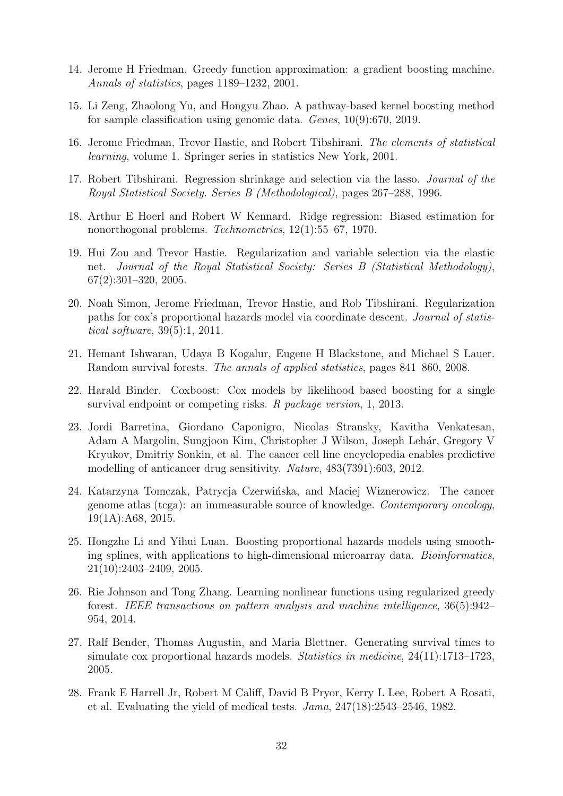- <span id="page-31-0"></span>14. Jerome H Friedman. Greedy function approximation: a gradient boosting machine. Annals of statistics, pages 1189–1232, 2001.
- <span id="page-31-1"></span>15. Li Zeng, Zhaolong Yu, and Hongyu Zhao. A pathway-based kernel boosting method for sample classification using genomic data. Genes, 10(9):670, 2019.
- <span id="page-31-2"></span>16. Jerome Friedman, Trevor Hastie, and Robert Tibshirani. The elements of statistical learning, volume 1. Springer series in statistics New York, 2001.
- <span id="page-31-3"></span>17. Robert Tibshirani. Regression shrinkage and selection via the lasso. Journal of the Royal Statistical Society. Series B (Methodological), pages 267–288, 1996.
- <span id="page-31-4"></span>18. Arthur E Hoerl and Robert W Kennard. Ridge regression: Biased estimation for nonorthogonal problems. Technometrics, 12(1):55–67, 1970.
- <span id="page-31-5"></span>19. Hui Zou and Trevor Hastie. Regularization and variable selection via the elastic net. Journal of the Royal Statistical Society: Series B (Statistical Methodology), 67(2):301–320, 2005.
- <span id="page-31-6"></span>20. Noah Simon, Jerome Friedman, Trevor Hastie, and Rob Tibshirani. Regularization paths for cox's proportional hazards model via coordinate descent. Journal of statistical software, 39(5):1, 2011.
- <span id="page-31-7"></span>21. Hemant Ishwaran, Udaya B Kogalur, Eugene H Blackstone, and Michael S Lauer. Random survival forests. The annals of applied statistics, pages 841–860, 2008.
- <span id="page-31-8"></span>22. Harald Binder. Coxboost: Cox models by likelihood based boosting for a single survival endpoint or competing risks. R package version, 1, 2013.
- <span id="page-31-9"></span>23. Jordi Barretina, Giordano Caponigro, Nicolas Stransky, Kavitha Venkatesan, Adam A Margolin, Sungjoon Kim, Christopher J Wilson, Joseph Lehár, Gregory V Kryukov, Dmitriy Sonkin, et al. The cancer cell line encyclopedia enables predictive modelling of anticancer drug sensitivity. Nature, 483(7391):603, 2012.
- <span id="page-31-10"></span>24. Katarzyna Tomczak, Patrycja Czerwińska, and Maciej Wiznerowicz. The cancer genome atlas (tcga): an immeasurable source of knowledge. Contemporary oncology, 19(1A):A68, 2015.
- <span id="page-31-11"></span>25. Hongzhe Li and Yihui Luan. Boosting proportional hazards models using smoothing splines, with applications to high-dimensional microarray data. *Bioinformatics*, 21(10):2403–2409, 2005.
- <span id="page-31-12"></span>26. Rie Johnson and Tong Zhang. Learning nonlinear functions using regularized greedy forest. IEEE transactions on pattern analysis and machine intelligence, 36(5):942– 954, 2014.
- <span id="page-31-13"></span>27. Ralf Bender, Thomas Augustin, and Maria Blettner. Generating survival times to simulate cox proportional hazards models. Statistics in medicine,  $24(11):1713-1723$ , 2005.
- <span id="page-31-14"></span>28. Frank E Harrell Jr, Robert M Califf, David B Pryor, Kerry L Lee, Robert A Rosati, et al. Evaluating the yield of medical tests. Jama, 247(18):2543–2546, 1982.